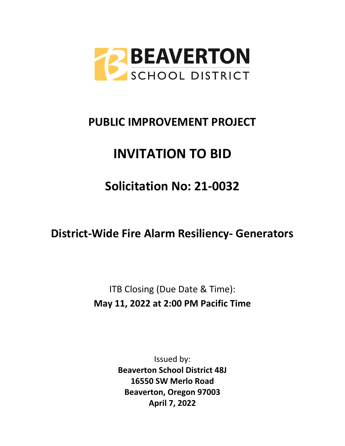

# **PUBLIC IMPROVEMENT PROJECT**

# **INVITATION TO BID**

# **Solicitation No: 21-0032**

# **District-Wide Fire Alarm Resiliency- Generators**

ITB Closing (Due Date & Time): **May 11, 2022 at 2:00 PM Pacific Time**

> Issued by: **Beaverton School District 48J 16550 SW Merlo Road Beaverton, Oregon 97003 April 7, 2022**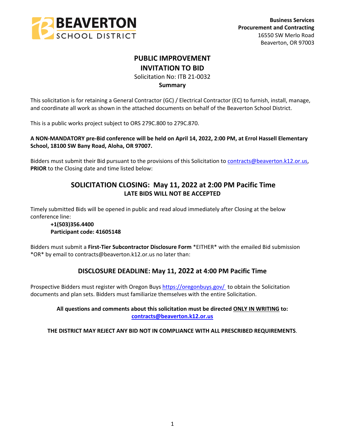

# **PUBLIC IMPROVEMENT INVITATION TO BID**

Solicitation No: ITB 21-0032

## **Summary**

This solicitation is for retaining a General Contractor (GC) / Electrical Contractor (EC) to furnish, install, manage, and coordinate all work as shown in the attached documents on behalf of the Beaverton School District.

This is a public works project subject to ORS 279C.800 to 279C.870.

**A NON-MANDATORY pre-Bid conference will be held on April 14, 2022, 2:00 PM, at Errol Hassell Elementary School, 18100 SW Bany Road, Aloha, OR 97007.**

Bidders must submit their Bid pursuant to the provisions of this Solicitation to [contracts@beaverton.k12.or.us,](mailto:contracts@beaverton.k12.or.us) **PRIOR** to the Closing date and time listed below:

# **SOLICITATION CLOSING: May 11, 2022 at 2:00 PM Pacific Time LATE BIDS WILL NOT BE ACCEPTED**

Timely submitted Bids will be opened in public and read aloud immediately after Closing at the below conference line:

## **+1(503)356.4400 Participant code: 41605148**

Bidders must submit a **First-Tier Subcontractor Disclosure Form** \*EITHER\* with the emailed Bid submission \*OR\* by email to contracts@beaverton.k12.or.us no later than:

# **DISCLOSURE DEADLINE: May 11, 2022 at 4:00 PM Pacific Time**

Prospective Bidders must register with Oregon Buys<https://oregonbuys.gov/> to obtain the Solicitation documents and plan sets. Bidders must familiarize themselves with the entire Solicitation.

> **All questions and comments about this solicitation must be directed ONLY IN WRITING to: [contracts@beaverton.k12.or.us](mailto:contracts@beaverton.k12.or.us)**

**THE DISTRICT MAY REJECT ANY BID NOT IN COMPLIANCE WITH ALL PRESCRIBED REQUIREMENTS**.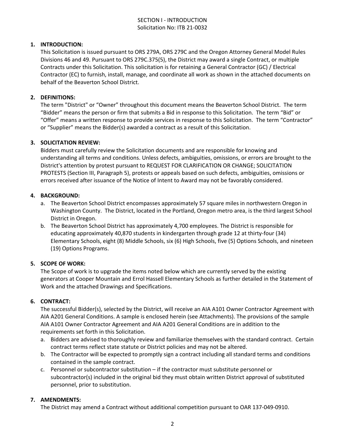## SECTION I - INTRODUCTION Solicitation No: ITB 21-0032

## **1. INTRODUCTION:**

This Solicitation is issued pursuant to ORS 279A, ORS 279C and the Oregon Attorney General Model Rules Divisions 46 and 49. Pursuant to ORS 279C.375(5), the District may award a single Contract, or multiple Contracts under this Solicitation. This solicitation is for retaining a General Contractor (GC) / Electrical Contractor (EC) to furnish, install, manage, and coordinate all work as shown in the attached documents on behalf of the Beaverton School District.

#### **2. DEFINITIONS:**

The term "District" or "Owner" throughout this document means the Beaverton School District. The term "Bidder" means the person or firm that submits a Bid in response to this Solicitation. The term "Bid" or "Offer" means a written response to provide services in response to this Solicitation. The term "Contractor" or "Supplier" means the Bidder(s) awarded a contract as a result of this Solicitation.

#### **3. SOLICITATION REVIEW:**

Bidders must carefully review the Solicitation documents and are responsible for knowing and understanding all terms and conditions. Unless defects, ambiguities, omissions, or errors are brought to the District's attention by protest pursuant to REQUEST FOR CLARIFICATION OR CHANGE; SOLICITATION PROTESTS (Section III, Paragraph 5), protests or appeals based on such defects, ambiguities, omissions or errors received after issuance of the Notice of Intent to Award may not be favorably considered.

## **4. BACKGROUND:**

- a. The Beaverton School District encompasses approximately 57 square miles in northwestern Oregon in Washington County. The District, located in the Portland, Oregon metro area, is the third largest School District in Oregon.
- b. The Beaverton School District has approximately 4,700 employees. The District is responsible for educating approximately 40,870 students in kindergarten through grade 12 at thirty-four (34) Elementary Schools, eight (8) Middle Schools, six (6) High Schools, five (5) Options Schools, and nineteen (19) Options Programs.

## **5. SCOPE OF WORK:**

The Scope of work is to upgrade the items noted below which are currently served by the existing generators at Cooper Mountain and Errol Hassell Elementary Schools as further detailed in the Statement of Work and the attached Drawings and Specifications.

#### **6. CONTRACT:**

The successful Bidder(s), selected by the District, will receive an AIA A101 Owner Contractor Agreement with AIA A201 General Conditions. A sample is enclosed herein (see Attachments). The provisions of the sample AIA A101 Owner Contractor Agreement and AIA A201 General Conditions are in addition to the requirements set forth in this Solicitation.

- a. Bidders are advised to thoroughly review and familiarize themselves with the standard contract. Certain contract terms reflect state statute or District policies and may not be altered.
- b. The Contractor will be expected to promptly sign a contract including all standard terms and conditions contained in the sample contract.
- c. Personnel or subcontractor substitution if the contractor must substitute personnel or subcontractor(s) included in the original bid they must obtain written District approval of substituted personnel, prior to substitution.

#### **7. AMENDMENTS:**

The District may amend a Contract without additional competition pursuant to OAR 137-049-0910.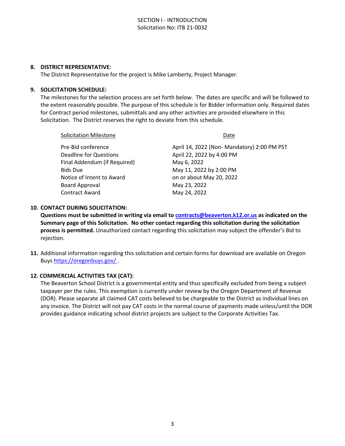#### **8. DISTRICT REPRESENTATIVE:**

The District Representative for the project is Mike Lamberty, Project Manager.

#### **9. SOLICITATION SCHEDULE:**

The milestones for the selection process are set forth below. The dates are specific and will be followed to the extent reasonably possible. The purpose of this schedule is for Bidder information only. Required dates for Contract period milestones, submittals and any other activities are provided elsewhere in this Solicitation. The District reserves the right to deviate from this schedule.

Solicitation Milestone **Date** 

| Pre-Bid conference            | April 14, 2022 (Non- Mandatory) 2:00 PM PST |
|-------------------------------|---------------------------------------------|
| <b>Deadline for Questions</b> | April 22, 2022 by 4:00 PM                   |
| Final Addendum (if Required)  | May 6, 2022                                 |
| <b>Bids Due</b>               | May 11, 2022 by 2:00 PM                     |
| Notice of Intent to Award     | on or about May 20, 2022                    |
| <b>Board Approval</b>         | May 23, 2022                                |
| <b>Contract Award</b>         | May 24, 2022                                |
|                               |                                             |

## **10. CONTACT DURING SOLICITATION:**

**Questions must be submitted in writing via email to [contracts@beaverton.k12.or.us](mailto:contracts@beaverton.k12.or.us) as indicated on the Summary page of this Solicitation. No other contact regarding this solicitation during the solicitation process is permitted.** Unauthorized contact regarding this solicitation may subject the offender's Bid to rejection.

**11.** Additional information regarding this solicitation and certain forms for download are available on Oregon Buys <https://oregonbuys.gov/> .

#### **12. COMMERCIAL ACTIVITIES TAX (CAT):**

The Beaverton School District is a governmental entity and thus specifically excluded from being a subject taxpayer per the rules. This exemption is currently under review by the Oregon Department of Revenue (DOR). Please separate all claimed CAT costs believed to be chargeable to the District as individual lines on any invoice. The District will not pay CAT costs in the normal course of payments made unless/until the DOR provides guidance indicating school district projects are subject to the Corporate Activities Tax.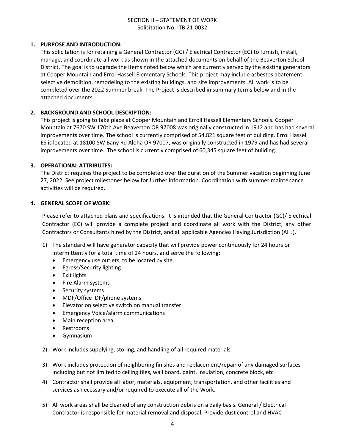## SECTION II – STATEMENT OF WORK Solicitation No: ITB 21-0032

## **1. PURPOSE AND INTRODUCTION:**

This solicitation is for retaining a General Contractor (GC) / Electrical Contractor (EC) to furnish, install, manage, and coordinate all work as shown in the attached documents on behalf of the Beaverton School District. The goal is to upgrade the items noted below which are currently served by the existing generators at Cooper Mountain and Errol Hassell Elementary Schools. This project may include asbestos abatement, selective demolition, remodeling to the existing buildings, and site improvements. All work is to be completed over the 2022 Summer break. The Project is described in summary terms below and in the attached documents.

#### **2. BACKGROUND AND SCHOOL DESCRIPTION:**

This project is going to take place at Cooper Mountain and Erroll Hassell Elementary Schools. Cooper Mountain at 7670 SW 170th Ave Beaverton OR 97008 was originally constructed in 1912 and has had several improvements over time. The school is currently comprised of 54,821 square feet of building. Errol Hassell ES is located at 18100 SW Bany Rd Aloha OR 97007, was originally constructed in 1979 and has had several improvements over time. The school is currently comprised of 60,345 square feet of building.

#### **3. OPERATIONAL ATTRIBUTES:**

The District requires the project to be completed over the duration of the Summer vacation beginning June 27, 2022. See project milestones below for further information. Coordination with summer maintenance activities will be required.

#### **4. GENERAL SCOPE OF WORK:**

Please refer to attached plans and specifications. It is intended that the General Contractor (GC)/ Electrical Contractor (EC) will provide a complete project and coordinate all work with the District, any other Contractors or Consultants hired by the District, and all applicable Agencies Having Jurisdiction (AHJ).

- 1) The standard will have generator capacity that will provide power continuously for 24 hours or intermittently for a total time of 24 hours, and serve the following:
	- **•** Emergency use outlets, to be located by site.
	- Egress/Security lighting
	- Exit lights
	- Fire Alarm systems
	- Security systems
	- MDF/Office IDF/phone systems
	- Elevator on selective switch on manual transfer
	- Emergency Voice/alarm communications
	- Main reception area
	- Restrooms
	- Gymnasium
- 2) Work includes supplying, storing, and handling of all required materials.
- 3) Work includes protection of neighboring finishes and replacement/repair of any damaged surfaces including but not limited to ceiling tiles, wall board, paint, insulation, concrete block, etc.
- 4) Contractor shall provide all labor, materials, equipment, transportation, and other facilities and services as necessary and/or required to execute all of the Work.
- 5) All work areas shall be cleaned of any construction debris on a daily basis. General / Electrical Contractor is responsible for material removal and disposal. Provide dust control and HVAC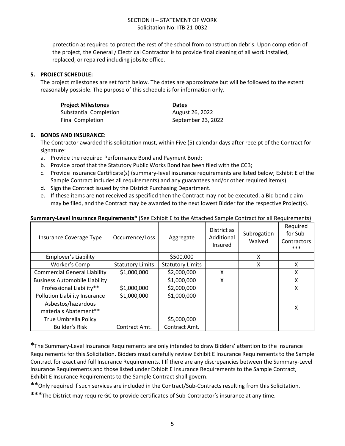protection as required to protect the rest of the school from construction debris. Upon completion of the project, the General / Electrical Contractor is to provide final cleaning of all work installed, replaced, or repaired including jobsite office.

## **5. PROJECT SCHEDULE:**

The project milestones are set forth below. The dates are approximate but will be followed to the extent reasonably possible. The purpose of this schedule is for information only.

| <b>Project Milestones</b>     | <b>Dates</b>       |
|-------------------------------|--------------------|
| <b>Substantial Completion</b> | August 26, 2022    |
| <b>Final Completion</b>       | September 23, 2022 |

## **6. BONDS AND INSURANCE:**

The Contractor awarded this solicitation must, within Five (5) calendar days after receipt of the Contract for signature:

- a. Provide the required Performance Bond and Payment Bond;
- b. Provide proof that the Statutory Public Works Bond has been filed with the CCB;
- c. Provide Insurance Certificate(s) (summary-level insurance requirements are listed below; Exhibit E of the Sample Contract includes all requirements) and any guarantees and/or other required item(s).
- d. Sign the Contract issued by the District Purchasing Department.
- e. If these items are not received as specified then the Contract may not be executed, a Bid bond claim may be filed, and the Contract may be awarded to the next lowest Bidder for the respective Project(s).

#### **Summary-Level Insurance Requirements\*** (See Exhibit E to the Attached Sample Contract for all Requirements)

| Insurance Coverage Type              | Occurrence/Loss         | Aggregate               | District as<br>Additional<br>Insured | Subrogation<br>Waived | Required<br>for Sub-<br>Contractors<br>$***$ |
|--------------------------------------|-------------------------|-------------------------|--------------------------------------|-----------------------|----------------------------------------------|
| Employer's Liability                 |                         | \$500,000               |                                      | X                     |                                              |
| Worker's Comp                        | <b>Statutory Limits</b> | <b>Statutory Limits</b> |                                      | X                     | x                                            |
| <b>Commercial General Liability</b>  | \$1,000,000             | \$2,000,000             | X                                    |                       | X                                            |
| <b>Business Automobile Liability</b> |                         | \$1,000,000             | X                                    |                       | X                                            |
| Professional Liability**             | \$1,000,000             | \$2,000,000             |                                      |                       | Χ                                            |
| Pollution Liability Insurance        | \$1,000,000             | \$1,000,000             |                                      |                       |                                              |
| Asbestos/hazardous                   |                         |                         |                                      |                       | x                                            |
| materials Abatement**                |                         |                         |                                      |                       |                                              |
| True Umbrella Policy                 |                         | \$5,000,000             |                                      |                       |                                              |
| Builder's Risk                       | Contract Amt.           | Contract Amt.           |                                      |                       |                                              |

**\***The Summary-Level Insurance Requirements are only intended to draw Bidders' attention to the Insurance Requirements for this Solicitation. Bidders must carefully review Exhibit E Insurance Requirements to the Sample Contract for exact and full Insurance Requirements. I If there are any discrepancies between the Summary-Level Insurance Requirements and those listed under Exhibit E Insurance Requirements to the Sample Contract, Exhibit E Insurance Requirements to the Sample Contract shall govern.

**\*\***Only required if such services are included in the Contract/Sub-Contracts resulting from this Solicitation.

**\*\*\***The District may require GC to provide certificates of Sub-Contractor's insurance at any time.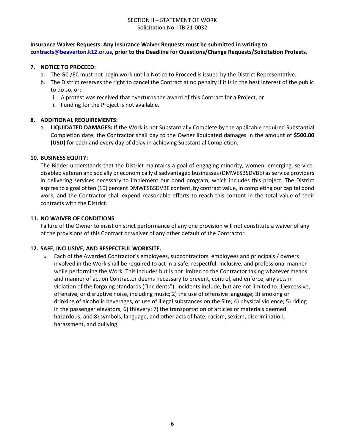## SECTION II – STATEMENT OF WORK Solicitation No: ITB 21-0032

## **Insurance Waiver Requests: Any Insurance Waiver Requests must be submitted in writing to [contracts@beaverton.k12.or.us,](mailto:contracts@beaverton.k12.or.us) prior to the Deadline for Questions/Change Requests/Solicitation Protests.**

## **7. NOTICE TO PROCEED:**

- a. The GC /EC must not begin work until a Notice to Proceed is issued by the District Representative.
- b. The District reserves the right to cancel the Contract at no penalty if it is in the best interest of the public to do so, or:
	- i. A protest was received that overturns the award of this Contract for a Project, or
	- ii. Funding for the Project is not available.

## **8. ADDITIONAL REQUIREMENTS:**

a. **LIQUIDATED DAMAGES:** If the Work is not Substantially Complete by the applicable required Substantial Completion date, the Contractor shall pay to the Owner liquidated damages in the amount of **\$500.00 (USD)** for each and every day of delay in achieving Substantial Completion.

## **10. BUSINESS EQUITY:**

The Bidder understands that the District maintains a goal of engaging minority, women, emerging, servicedisabled veteran and socially or economically disadvantaged businesses (DMWESBSDVBE) as service providers in delivering services necessary to implement our bond program, which includes this project. The District aspires to a goal of ten (10) percent DMWESBSDVBE content, by contract value, in completing our capital bond work, and the Contractor shall expend reasonable efforts to reach this content in the total value of their contracts with the District.

## **11. NO WAIVER OF CONDITIONS**:

Failure of the Owner to insist on strict performance of any one provision will not constitute a waiver of any of the provisions of this Contract or waiver of any other default of the Contractor.

#### **12. SAFE, INCLUSIVE, AND RESPECTFUL WORKSITE.**

a. Each of the Awarded Contractor's employees, subcontractors' employees and principals / owners involved in the Work shall be required to act in a safe, respectful, inclusive, and professional manner while performing the Work. This includes but is not limited to the Contractor taking whatever means and manner of action Contractor deems necessary to prevent, control, and enforce, any acts in violation of the forgoing standards ("Incidents"). Incidents include, but are not limited to: 1)excessive, offensive, or disruptive noise, including music; 2) the use of offensive language; 3) smoking or drinking of alcoholic beverages, or use of illegal substances on the Site; 4) physical violence; 5) riding in the passenger elevators; 6) thievery; 7) the transportation of articles or materials deemed hazardous; and 8) symbols, language, and other acts of hate, racism, sexism, discrimination, harassment, and bullying.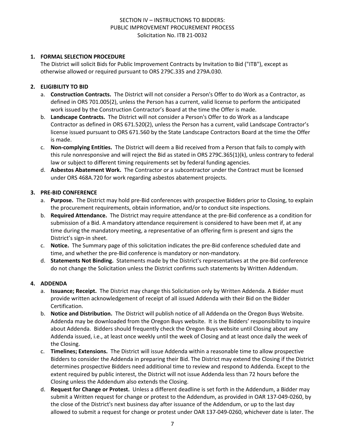## **1. FORMAL SELECTION PROCEDURE**

The District will solicit Bids for Public Improvement Contracts by Invitation to Bid ("ITB"), except as otherwise allowed or required pursuant to ORS 279C.335 and 279A.030.

## **2. ELIGIBILITY TO BID**

- a. **Construction Contracts.** The District will not consider a Person's Offer to do Work as a Contractor, as defined in ORS 701.005(2), unless the Person has a current, valid license to perform the anticipated work issued by the Construction Contractor's Board at the time the Offer is made.
- b. **Landscape Contracts.** The District will not consider a Person's Offer to do Work as a landscape Contractor as defined in ORS 671.520(2), unless the Person has a current, valid Landscape Contractor's license issued pursuant to ORS 671.560 by the State Landscape Contractors Board at the time the Offer is made.
- c. **Non-complying Entities.** The District will deem a Bid received from a Person that fails to comply with this rule nonresponsive and will reject the Bid as stated in ORS 279C.365(1)(k), unless contrary to federal law or subject to different timing requirements set by federal funding agencies.
- d. **Asbestos Abatement Work.** The Contractor or a subcontractor under the Contract must be licensed under ORS 468A.720 for work regarding asbestos abatement projects.

#### **3. PRE-BID CONFERENCE**

- a. **Purpose.** The District may hold pre-Bid conferences with prospective Bidders prior to Closing, to explain the procurement requirements, obtain information, and/or to conduct site inspections.
- b. **Required Attendance.** The District may require attendance at the pre-Bid conference as a condition for submission of a Bid. A mandatory attendance requirement is considered to have been met if, at any time during the mandatory meeting, a representative of an offering firm is present and signs the District's sign-in sheet.
- c. **Notice.** The Summary page of this solicitation indicates the pre-Bid conference scheduled date and time, and whether the pre-Bid conference is mandatory or non-mandatory.
- d. **Statements Not Binding.** Statements made by the District's representatives at the pre-Bid conference do not change the Solicitation unless the District confirms such statements by Written Addendum.

## **4. ADDENDA**

- a. **Issuance; Receipt.** The District may change this Solicitation only by Written Addenda. A Bidder must provide written acknowledgement of receipt of all issued Addenda with their Bid on the Bidder Certification.
- b. **Notice and Distribution.** The District will publish notice of all Addenda on the Oregon Buys Website. Addenda may be downloaded from the Oregon Buys website. It is the Bidders' responsibility to inquire about Addenda. Bidders should frequently check the Oregon Buys website until Closing about any Addenda issued, i.e., at least once weekly until the week of Closing and at least once daily the week of the Closing.
- c. **Timelines; Extensions.** The District will issue Addenda within a reasonable time to allow prospective Bidders to consider the Addenda in preparing their Bid. The District may extend the Closing if the District determines prospective Bidders need additional time to review and respond to Addenda. Except to the extent required by public interest, the District will not issue Addenda less than 72 hours before the Closing unless the Addendum also extends the Closing.
- d. **Request for Change or Protest.** Unless a different deadline is set forth in the Addendum, a Bidder may submit a Written request for change or protest to the Addendum, as provided in OAR 137-049-0260, by the close of the District's next business day after issuance of the Addendum, or up to the last day allowed to submit a request for change or protest under OAR 137-049-0260, whichever date is later. The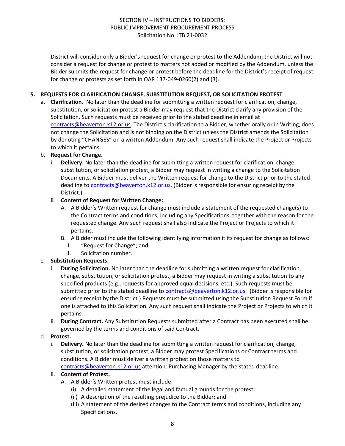District will consider only a Bidder's request for change or protest to the Addendum; the District will not consider a request for change or protest to matters not added or modified by the Addendum, unless the Bidder submits the request for change or protest before the deadline for the District's receipt of request for change or protests as set forth in OAR 137-049-0260(2) and (3).

## **5. REQUESTS FOR CLARIFICATION CHANGE, SUBSTITUTION REQUEST, OR SOLICITATION PROTEST**

a. **Clarification.** No later than the deadline for submitting a written request for clarification, change, substitution, or solicitation protest a Bidder may request that the District clarify any provision of the Solicitation. Such requests must be received prior to the stated deadline in email at [contracts@beaverton.k12.or.us.](mailto:contracts@beaverton.k12.or.us) The District's clarification to a Bidder, whether orally or in Writing, does not change the Solicitation and is not binding on the District unless the District amends the Solicitation by denoting "CHANGES" on a written Addendum. Any such request shall indicate the Project or Projects to which it pertains.

## b. **Request for Change.**

i. **Delivery.** No later than the deadline for submitting a written request for clarification, change, substitution, or solicitation protest, a Bidder may request in writing a change to the Solicitation Documents. A Bidder must deliver the Written request for change to the District prior to the stated deadline to [contracts@beaverton.k12.or.us.](mailto:contracts@beaverton.k12.or.us) (Bidder is responsible for ensuring receipt by the District.)

## ii. **Content of Request for Written Change:**

- A. A Bidder's Written request for change must include a statement of the requested change(s) to the Contract terms and conditions, including any Specifications, together with the reason for the requested change. Any such request shall also indicate the Project or Projects to which it pertains.
- B. A Bidder must include the following identifying information it its request for change as follows:
	- I. "Request for Change"; and
	- II. Solicitation number.

## c. **Substitution Requests.**

- i. **During Solicitation.** No later than the deadline for submitting a written request for clarification, change, substitution, or solicitation protest, a Bidder may request in writing a substitution to any specified products (e.g., requests for approved equal decisions, etc.). Such requests must be submitted prior to the stated deadline to [contracts@beaverton.k12.or.us](mailto:contracts@beaverton.k12.or.us). (Bidder is responsible for ensuring receipt by the District.) Requests must be submitted using the Substitution Request Form if one is attached to this Solicitation. Any such request shall indicate the Project or Projects to which it pertains.
- ii. **During Contract.** Any Substitution Requests submitted after a Contract has been executed shall be governed by the terms and conditions of said Contract.

#### d. **Protest.**

i. **Delivery.** No later than the deadline for submitting a written request for clarification, change, substitution, or solicitation protest, a Bidder may protest Specifications or Contract terms and conditions. A Bidder must deliver a written protest on those matters to [contracts@beaverton.k12.or.us](mailto:contracts@beaverton.k12.or.us) attention: Purchasing Manager by the stated deadline.

#### ii. **Content of Protest.**

- A. A Bidder's Written protest must include:
	- (i) A detailed statement of the legal and factual grounds for the protest;
	- (ii) A description of the resulting prejudice to the Bidder; and
	- (iii) A statement of the desired changes to the Contract terms and conditions, including any Specifications.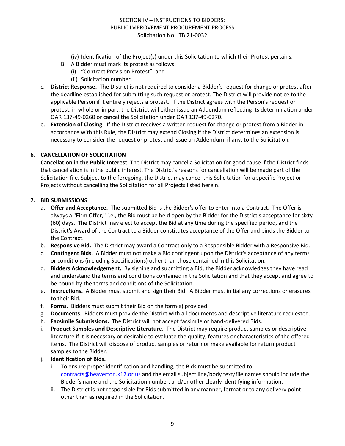- (iv) Identification of the Project(s) under this Solicitation to which their Protest pertains.
- B. A Bidder must mark its protest as follows:
	- (i) "Contract Provision Protest"; and
		- (ii) Solicitation number.
- c. **District Response.** The District is not required to consider a Bidder's request for change or protest after the deadline established for submitting such request or protest. The District will provide notice to the applicable Person if it entirely rejects a protest. If the District agrees with the Person's request or protest, in whole or in part, the District will either issue an Addendum reflecting its determination under OAR 137-49-0260 or cancel the Solicitation under OAR 137-49-0270.
- e. **Extension of Closing.** If the District receives a written request for change or protest from a Bidder in accordance with this Rule, the District may extend Closing if the District determines an extension is necessary to consider the request or protest and issue an Addendum, if any, to the Solicitation.

## **6. CANCELLATION OF SOLICITATION**

**Cancellation in the Public Interest.** The District may cancel a Solicitation for good cause if the District finds that cancellation is in the public interest. The District's reasons for cancellation will be made part of the Solicitation file. Subject to the foregoing, the District may cancel this Solicitation for a specific Project or Projects without cancelling the Solicitation for all Projects listed herein.

#### **7. BID SUBMISSIONS**

- a. **Offer and Acceptance.** The submitted Bid is the Bidder's offer to enter into a Contract. The Offer is always a "Firm Offer," i.e., the Bid must be held open by the Bidder for the District's acceptance for sixty (60) days. The District may elect to accept the Bid at any time during the specified period, and the District's Award of the Contract to a Bidder constitutes acceptance of the Offer and binds the Bidder to the Contract.
- b. **Responsive Bid.** The District may award a Contract only to a Responsible Bidder with a Responsive Bid.
- c. **Contingent Bids.** A Bidder must not make a Bid contingent upon the District's acceptance of any terms or conditions (including Specifications) other than those contained in this Solicitation.
- d. **Bidders Acknowledgement.** By signing and submitting a Bid, the Bidder acknowledges they have read and understand the terms and conditions contained in the Solicitation and that they accept and agree to be bound by the terms and conditions of the Solicitation.
- e. **Instructions.** A Bidder must submit and sign their Bid. A Bidder must initial any corrections or erasures to their Bid.
- f. **Forms.** Bidders must submit their Bid on the form(s) provided.
- g. **Documents.** Bidders must provide the District with all documents and descriptive literature requested.
- h. **Facsimile Submissions.** The District will not accept facsimile or hand-delivered Bids.
- i. **Product Samples and Descriptive Literature.** The District may require product samples or descriptive literature if it is necessary or desirable to evaluate the quality, features or characteristics of the offered items. The District will dispose of product samples or return or make available for return product samples to the Bidder.
- j. **Identification of Bids.**
	- i. To ensure proper identification and handling, the Bids must be submitted to [contracts@beaverton.k12.or.us](mailto:contracts@beaverton.k12.or.us) and the email subject line/body text/file names should include the Bidder's name and the Solicitation number, and/or other clearly identifying information.
	- ii. The District is not responsible for Bids submitted in any manner, format or to any delivery point other than as required in the Solicitation.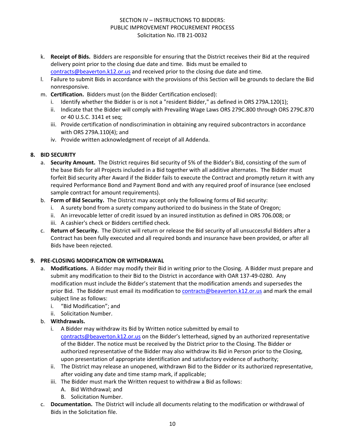- k. **Receipt of Bids.** Bidders are responsible for ensuring that the District receives their Bid at the required delivery point prior to the closing due date and time. Bids must be emailed to [contracts@beaverton.k12.or.us](mailto:contracts@beaverton.k12.or.us) and received prior to the closing due date and time.
- l. Failure to submit Bids in accordance with the provisions of this Section will be grounds to declare the Bid nonresponsive.
- m. **Certification.** Bidders must (on the Bidder Certification enclosed):
	- i. Identify whether the Bidder is or is not a "resident Bidder," as defined in ORS 279A.120(1);
	- ii. Indicate that the Bidder will comply with Prevailing Wage Laws ORS 279C.800 through ORS 279C.870 or 40 U.S.C. 3141 et seq;
	- iii. Provide certification of nondiscrimination in obtaining any required subcontractors in accordance with ORS 279A.110(4); and
	- iv. Provide written acknowledgment of receipt of all Addenda.

## **8. BID SECURITY**

- a. **Security Amount.** The District requires Bid security of 5% of the Bidder's Bid, consisting of the sum of the base Bids for all Projects included in a Bid together with all additive alternates. The Bidder must forfeit Bid security after Award if the Bidder fails to execute the Contract and promptly return it with any required Performance Bond and Payment Bond and with any required proof of insurance (see enclosed sample contract for amount requirements).
- b. **Form of Bid Security.** The District may accept only the following forms of Bid security:
	- i. A surety bond from a surety company authorized to do business in the State of Oregon;
	- ii. An irrevocable letter of credit issued by an insured institution as defined in ORS 706.008; or
	- iii. A cashier's check or Bidders certified check.
- c. **Return of Security.** The District will return or release the Bid security of all unsuccessful Bidders after a Contract has been fully executed and all required bonds and insurance have been provided, or after all Bids have been rejected.

## **9. PRE-CLOSING MODIFICATION OR WITHDRAWAL**

- a. **Modifications.** A Bidder may modify their Bid in writing prior to the Closing. A Bidder must prepare and submit any modification to their Bid to the District in accordance with OAR 137-49-0280. Any modification must include the Bidder's statement that the modification amends and supersedes the prior Bid. The Bidder must email its modification to [contracts@beaverton.k12.or.us](mailto:contracts@beaverton.k12.or.us) and mark the email subject line as follows:
	- i. "Bid Modification"; and
	- ii. Solicitation Number.
- b. **Withdrawals.**
	- i. A Bidder may withdraw its Bid by Written notice submitted by email to [contracts@beaverton.k12.or.us](mailto:contracts@beaverton.k12.or.us) on the Bidder's letterhead, signed by an authorized representative of the Bidder. The notice must be received by the District prior to the Closing. The Bidder or authorized representative of the Bidder may also withdraw its Bid in Person prior to the Closing, upon presentation of appropriate identification and satisfactory evidence of authority;
	- ii. The District may release an unopened, withdrawn Bid to the Bidder or its authorized representative, after voiding any date and time stamp mark, if applicable;
	- iii. The Bidder must mark the Written request to withdraw a Bid as follows:
		- A. Bid Withdrawal; and
		- B. Solicitation Number.
- c. **Documentation.** The District will include all documents relating to the modification or withdrawal of Bids in the Solicitation file.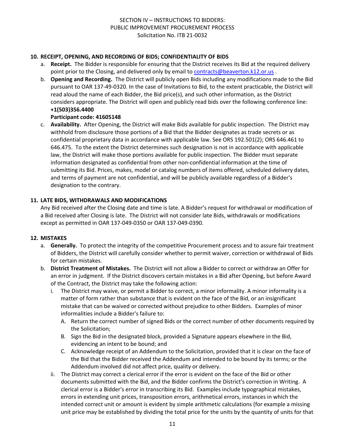## **10. RECEIPT, OPENING, AND RECORDING OF BIDS; CONFIDENTIALITY OF BIDS**

- a. **Receipt.** The Bidder is responsible for ensuring that the District receives its Bid at the required delivery point prior to the Closing, and delivered only by email to [contracts@beaverton.k12.or.us](mailto:contracts@beaverton.k12.or.us) .
- b. **Opening and Recording.** The District will publicly open Bids including any modifications made to the Bid pursuant to OAR 137-49-0320. In the case of Invitations to Bid, to the extent practicable, the District will read aloud the name of each Bidder, the Bid price(s), and such other information, as the District considers appropriate. The District will open and publicly read bids over the following conference line: **+1(503)356.4400**

#### **Participant code: 41605148**

c. **Availability.** After Opening, the District will make Bids available for public inspection. The District may withhold from disclosure those portions of a Bid that the Bidder designates as trade secrets or as confidential proprietary data in accordance with applicable law. See ORS 192.501(2); ORS 646.461 to 646.475. To the extent the District determines such designation is not in accordance with applicable law, the District will make those portions available for public inspection. The Bidder must separate information designated as confidential from other non-confidential information at the time of submitting its Bid. Prices, makes, model or catalog numbers of items offered, scheduled delivery dates, and terms of payment are not confidential, and will be publicly available regardless of a Bidder's designation to the contrary.

## **11. LATE BIDS, WITHDRAWALS AND MODIFICATIONS**

Any Bid received after the Closing date and time is late. A Bidder's request for withdrawal or modification of a Bid received after Closing is late. The District will not consider late Bids, withdrawals or modifications except as permitted in OAR 137-049-0350 or OAR 137-049-0390.

#### **12. MISTAKES**

- a. **Generally.** To protect the integrity of the competitive Procurement process and to assure fair treatment of Bidders, the District will carefully consider whether to permit waiver, correction or withdrawal of Bids for certain mistakes.
- b. **District Treatment of Mistakes.** The District will not allow a Bidder to correct or withdraw an Offer for an error in judgment. If the District discovers certain mistakes in a Bid after Opening, but before Award of the Contract, the District may take the following action:
	- i. The District may waive, or permit a Bidder to correct, a minor informality. A minor informality is a matter of form rather than substance that is evident on the face of the Bid, or an insignificant mistake that can be waived or corrected without prejudice to other Bidders. Examples of minor informalities include a Bidder's failure to:
		- A. Return the correct number of signed Bids or the correct number of other documents required by the Solicitation;
		- B. Sign the Bid in the designated block, provided a Signature appears elsewhere in the Bid, evidencing an intent to be bound; and
		- C. Acknowledge receipt of an Addendum to the Solicitation, provided that it is clear on the face of the Bid that the Bidder received the Addendum and intended to be bound by its terms; or the Addendum involved did not affect price, quality or delivery.
	- ii. The District may correct a clerical error if the error is evident on the face of the Bid or other documents submitted with the Bid, and the Bidder confirms the District's correction in Writing. A clerical error is a Bidder's error in transcribing its Bid. Examples include typographical mistakes, errors in extending unit prices, transposition errors, arithmetical errors, instances in which the intended correct unit or amount is evident by simple arithmetic calculations (for example a missing unit price may be established by dividing the total price for the units by the quantity of units for that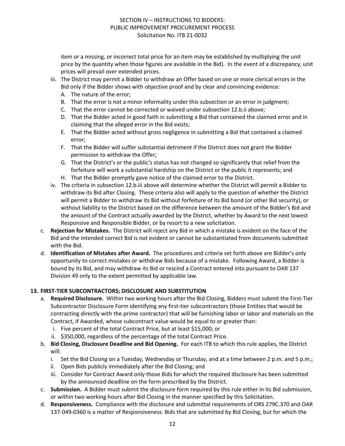item or a missing, or incorrect total price for an item may be established by multiplying the unit price by the quantity when those figures are available in the Bid). In the event of a discrepancy, unit prices will prevail over extended prices.

- iii. The District may permit a Bidder to withdraw an Offer based on one or more clerical errors in the Bid only if the Bidder shows with objective proof and by clear and convincing evidence:
	- A. The nature of the error;
	- B. That the error is not a minor informality under this subsection or an error in judgment;
	- C. That the error cannot be corrected or waived under subsection 12.b.ii above;
	- D. That the Bidder acted in good faith in submitting a Bid that contained the claimed error and in claiming that the alleged error in the Bid exists;
	- E. That the Bidder acted without gross negligence in submitting a Bid that contained a claimed error;
	- F. That the Bidder will suffer substantial detriment if the District does not grant the Bidder permission to withdraw the Offer;
	- G. That the District's or the public's status has not changed so significantly that relief from the forfeiture will work a substantial hardship on the District or the public it represents; and
	- H. That the Bidder promptly gave notice of the claimed error to the District.
- iv. The criteria in subsection 12.b.iii above will determine whether the District will permit a Bidder to withdraw its Bid after Closing. These criteria also will apply to the question of whether the District will permit a Bidder to withdraw its Bid without forfeiture of its Bid bond (or other Bid security), or without liability to the District based on the difference between the amount of the Bidder's Bid and the amount of the Contract actually awarded by the District, whether by Award to the next lowest Responsive and Responsible Bidder, or by resort to a new solicitation.
- c. **Rejection for Mistakes.** The District will reject any Bid in which a mistake is evident on the face of the Bid and the intended correct Bid is not evident or cannot be substantiated from documents submitted with the Bid.
- d. **Identification of Mistakes after Award.** The procedures and criteria set forth above are Bidder's only opportunity to correct mistakes or withdraw Bids because of a mistake. Following Award, a Bidder is bound by its Bid, and may withdraw its Bid or rescind a Contract entered into pursuant to OAR 137 Division 49 only to the extent permitted by applicable law.

#### **13. FIRST-TIER SUBCONTRACTORS; DISCLOSURE AND SUBSTITUTION**

- a. **Required Disclosure.** Within two working hours after the Bid Closing, Bidders must submit the First-Tier Subcontractor Disclosure Form identifying any first-tier subcontractors (those Entities that would be contracting directly with the prime contractor) that will be furnishing labor or labor and materials on the Contract, if Awarded, whose subcontract value would be equal to or greater than:
	- i. Five percent of the total Contract Price, but at least \$15,000; or
	- ii. \$350,000, regardless of the percentage of the total Contract Price.
- b. **Bid Closing, Disclosure Deadline and Bid Opening.** For each ITB to which this rule applies, the District will:
	- i. Set the Bid Closing on a Tuesday, Wednesday or Thursday, and at a time between 2 p.m. and 5 p.m.;
	- ii. Open Bids publicly immediately after the Bid Closing; and
	- iii. Consider for Contract Award only those Bids for which the required disclosure has been submitted by the announced deadline on the form prescribed by the District.
- c. **Submission.** A Bidder must submit the disclosure form required by this rule either in its Bid submission, or within two working hours after Bid Closing in the manner specified by this Solicitation.
- d. **Responsiveness.** Compliance with the disclosure and submittal requirements of ORS 279C.370 and OAR 137-049-0360 is a matter of Responsiveness. Bids that are submitted by Bid Closing, but for which the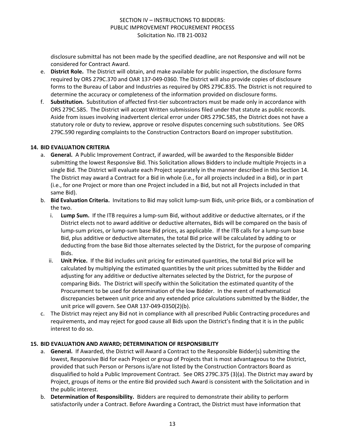disclosure submittal has not been made by the specified deadline, are not Responsive and will not be considered for Contract Award.

- e. **District Role.** The District will obtain, and make available for public inspection, the disclosure forms required by ORS 279C.370 and OAR 137-049-0360. The District will also provide copies of disclosure forms to the Bureau of Labor and Industries as required by ORS 279C.835. The District is not required to determine the accuracy or completeness of the information provided on disclosure forms.
- f. **Substitution.** Substitution of affected first-tier subcontractors must be made only in accordance with ORS 279C.585. The District will accept Written submissions filed under that statute as public records. Aside from issues involving inadvertent clerical error under ORS 279C.585, the District does not have a statutory role or duty to review, approve or resolve disputes concerning such substitutions. See ORS 279C.590 regarding complaints to the Construction Contractors Board on improper substitution.

#### **14. BID EVALUATION CRITERIA**

- a. **General.** A Public Improvement Contract, if awarded, will be awarded to the Responsible Bidder submitting the lowest Responsive Bid. This Solicitation allows Bidders to include multiple Projects in a single Bid. The District will evaluate each Project separately in the manner described in this Section 14. The District may award a Contract for a Bid in whole (i.e., for all projects included in a Bid), or in part (i.e., for one Project or more than one Project included in a Bid, but not all Projects included in that same Bid).
- b. **Bid Evaluation Criteria.** Invitations to Bid may solicit lump-sum Bids, unit-price Bids, or a combination of the two.
	- i. **Lump Sum.** If the ITB requires a lump-sum Bid, without additive or deductive alternates, or if the District elects not to award additive or deductive alternates, Bids will be compared on the basis of lump-sum prices, or lump-sum base Bid prices, as applicable. If the ITB calls for a lump-sum base Bid, plus additive or deductive alternates, the total Bid price will be calculated by adding to or deducting from the base Bid those alternates selected by the District, for the purpose of comparing Bids.
	- ii. **Unit Price.** If the Bid includes unit pricing for estimated quantities, the total Bid price will be calculated by multiplying the estimated quantities by the unit prices submitted by the Bidder and adjusting for any additive or deductive alternates selected by the District, for the purpose of comparing Bids. The District will specify within the Solicitation the estimated quantity of the Procurement to be used for determination of the low Bidder. In the event of mathematical discrepancies between unit price and any extended price calculations submitted by the Bidder, the unit price will govern. See OAR 137-049-0350(2)(b).
- c. The District may reject any Bid not in compliance with all prescribed Public Contracting procedures and requirements, and may reject for good cause all Bids upon the District's finding that it is in the public interest to do so.

## **15. BID EVALUATION AND AWARD; DETERMINATION OF RESPONSIBILITY**

- a. **General.** If Awarded, the District will Award a Contract to the Responsible Bidder(s) submitting the lowest, Responsive Bid for each Project or group of Projects that is most advantageous to the District, provided that such Person or Persons is/are not listed by the Construction Contractors Board as disqualified to hold a Public Improvement Contract. See ORS 279C.375 (3)(a). The District may award by Project, groups of items or the entire Bid provided such Award is consistent with the Solicitation and in the public interest.
- b. **Determination of Responsibility.** Bidders are required to demonstrate their ability to perform satisfactorily under a Contract. Before Awarding a Contract, the District must have information that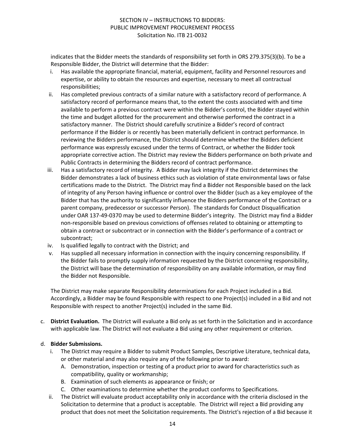indicates that the Bidder meets the standards of responsibility set forth in ORS 279.375(3)(b). To be a Responsible Bidder, the District will determine that the Bidder:

- i. Has available the appropriate financial, material, equipment, facility and Personnel resources and expertise, or ability to obtain the resources and expertise, necessary to meet all contractual responsibilities;
- ii. Has completed previous contracts of a similar nature with a satisfactory record of performance. A satisfactory record of performance means that, to the extent the costs associated with and time available to perform a previous contract were within the Bidder's control, the Bidder stayed within the time and budget allotted for the procurement and otherwise performed the contract in a satisfactory manner. The District should carefully scrutinize a Bidder's record of contract performance if the Bidder is or recently has been materially deficient in contract performance. In reviewing the Bidders performance, the District should determine whether the Bidders deficient performance was expressly excused under the terms of Contract, or whether the Bidder took appropriate corrective action. The District may review the Bidders performance on both private and Public Contracts in determining the Bidders record of contract performance.
- iii. Has a satisfactory record of integrity. A Bidder may lack integrity if the District determines the Bidder demonstrates a lack of business ethics such as violation of state environmental laws or false certifications made to the District. The District may find a Bidder not Responsible based on the lack of integrity of any Person having influence or control over the Bidder (such as a key employee of the Bidder that has the authority to significantly influence the Bidders performance of the Contract or a parent company, predecessor or successor Person). The standards for Conduct Disqualification under OAR 137-49-0370 may be used to determine Bidder's integrity. The District may find a Bidder non-responsible based on previous convictions of offenses related to obtaining or attempting to obtain a contract or subcontract or in connection with the Bidder's performance of a contract or subcontract;
- iv. Is qualified legally to contract with the District; and
- v. Has supplied all necessary information in connection with the inquiry concerning responsibility. If the Bidder fails to promptly supply information requested by the District concerning responsibility, the District will base the determination of responsibility on any available information, or may find the Bidder not Responsible.

The District may make separate Responsibility determinations for each Project included in a Bid. Accordingly, a Bidder may be found Responsible with respect to one Project(s) included in a Bid and not Responsible with respect to another Project(s) included in the same Bid.

c. **District Evaluation.** The District will evaluate a Bid only as set forth in the Solicitation and in accordance with applicable law. The District will not evaluate a Bid using any other requirement or criterion.

## d. **Bidder Submissions.**

- i. The District may require a Bidder to submit Product Samples, Descriptive Literature, technical data, or other material and may also require any of the following prior to award:
	- A. Demonstration, inspection or testing of a product prior to award for characteristics such as compatibility, quality or workmanship;
	- B. Examination of such elements as appearance or finish; or
	- C. Other examinations to determine whether the product conforms to Specifications.
- ii. The District will evaluate product acceptability only in accordance with the criteria disclosed in the Solicitation to determine that a product is acceptable. The District will reject a Bid providing any product that does not meet the Solicitation requirements. The District's rejection of a Bid because it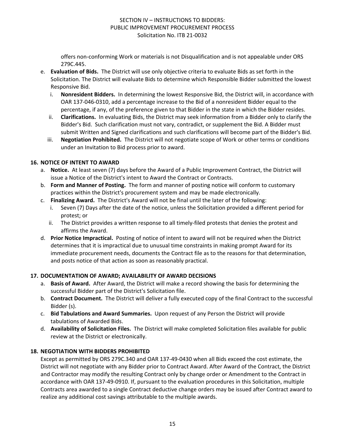offers non-conforming Work or materials is not Disqualification and is not appealable under ORS 279C.445.

- e. **Evaluation of Bids.** The District will use only objective criteria to evaluate Bids as set forth in the Solicitation. The District will evaluate Bids to determine which Responsible Bidder submitted the lowest Responsive Bid.
	- i. **Nonresident Bidders.** In determining the lowest Responsive Bid, the District will, in accordance with OAR 137-046-0310, add a percentage increase to the Bid of a nonresident Bidder equal to the percentage, if any, of the preference given to that Bidder in the state in which the Bidder resides.
	- ii. **Clarifications.** In evaluating Bids, the District may seek information from a Bidder only to clarify the Bidder's Bid. Such clarification must not vary, contradict, or supplement the Bid. A Bidder must submit Written and Signed clarifications and such clarifications will become part of the Bidder's Bid.
	- iii. **Negotiation Prohibited.** The District will not negotiate scope of Work or other terms or conditions under an Invitation to Bid process prior to award.

## **16. NOTICE OF INTENT TO AWARD**

- a. **Notice.** At least seven (7) days before the Award of a Public Improvement Contract, the District will issue a Notice of the District's intent to Award the Contract or Contracts.
- b. **Form and Manner of Posting.** The form and manner of posting notice will conform to customary practices within the District's procurement system and may be made electronically.
- c. **Finalizing Award.** The District's Award will not be final until the later of the following:
	- Seven (7) Days after the date of the notice, unless the Solicitation provided a different period for protest; or
	- ii. The District provides a written response to all timely-filed protests that denies the protest and affirms the Award.
- d. **Prior Notice Impractical.** Posting of notice of intent to award will not be required when the District determines that it is impractical due to unusual time constraints in making prompt Award for its immediate procurement needs, documents the Contract file as to the reasons for that determination, and posts notice of that action as soon as reasonably practical.

## **17. DOCUMENTATION OF AWARD; AVAILABILITY OF AWARD DECISIONS**

- a. **Basis of Award.** After Award, the District will make a record showing the basis for determining the successful Bidder part of the District's Solicitation file.
- b. **Contract Document.** The District will deliver a fully executed copy of the final Contract to the successful Bidder (s).
- c. **Bid Tabulations and Award Summaries.** Upon request of any Person the District will provide tabulations of Awarded Bids.
- d. **Availability of Solicitation Files.** The District will make completed Solicitation files available for public review at the District or electronically.

# **18. NEGOTIATION WITH BIDDERS PROHIBITED**

Except as permitted by ORS 279C.340 and OAR 137-49-0430 when all Bids exceed the cost estimate, the District will not negotiate with any Bidder prior to Contract Award. After Award of the Contract, the District and Contractor may modify the resulting Contract only by change order or Amendment to the Contract in accordance with OAR 137-49-0910. If, pursuant to the evaluation procedures in this Solicitation, multiple Contracts area awarded to a single Contract deductive change orders may be issued after Contract award to realize any additional cost savings attributable to the multiple awards.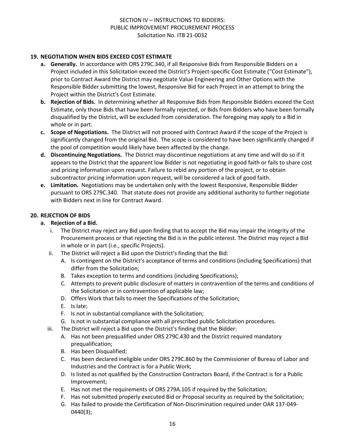## **19. NEGOTIATION WHEN BIDS EXCEED COST ESTIMATE**

- **a. Generally.** In accordance with ORS 279C.340, if all Responsive Bids from Responsible Bidders on a Project included in this Solicitation exceed the District's Project-specific Cost Estimate ("Cost Estimate"), prior to Contract Award the District may negotiate Value Engineering and Other Options with the Responsible Bidder submitting the lowest, Responsive Bid for each Project in an attempt to bring the Project within the District's Cost Estimate.
- **b. Rejection of Bids.** In determining whether all Responsive Bids from Responsible Bidders exceed the Cost Estimate, only those Bids that have been formally rejected, or Bids from Bidders who have been formally disqualified by the District, will be excluded from consideration. The foregoing may apply to a Bid in whole or in part.
- **c. Scope of Negotiations.** The District will not proceed with Contract Award if the scope of the Project is significantly changed from the original Bid. The scope is considered to have been significantly changed if the pool of competition would likely have been affected by the change.
- **d. Discontinuing Negotiations.** The District may discontinue negotiations at any time and will do so if it appears to the District that the apparent low Bidder is not negotiating in good faith or fails to share cost and pricing information upon request. Failure to rebid any portion of the project, or to obtain subcontractor pricing information upon request, will be considered a lack of good faith.
- **e. Limitation.** Negotiations may be undertaken only with the lowest Responsive, Responsible Bidder pursuant to ORS 279C.340. That statute does not provide any additional authority to further negotiate with Bidders next in line for Contract Award.

## **20. REJECTION OF BIDS**

#### **a. Rejection of a Bid.**

- i. The District may reject any Bid upon finding that to accept the Bid may impair the integrity of the Procurement process or that rejecting the Bid is in the public interest. The District may reject a Bid in whole or in part (i.e., specific Projects).
- ii. The District will reject a Bid upon the District's finding that the Bid:
	- A. Is contingent on the District's acceptance of terms and conditions (including Specifications) that differ from the Solicitation;
	- B. Takes exception to terms and conditions (including Specifications);
	- C. Attempts to prevent public disclosure of matters in contravention of the terms and conditions of the Solicitation or in contravention of applicable law;
	- D. Offers Work that fails to meet the Specifications of the Solicitation;
	- E. Is late;
	- F. Is not in substantial compliance with the Solicitation;
	- G. Is not in substantial compliance with all prescribed public Solicitation procedures.
- iii. The District will reject a Bid upon the District's finding that the Bidder:
	- A. Has not been prequalified under ORS 279C.430 and the District required mandatory prequalification;
	- B. Has been Disqualified;
	- C. Has been declared ineligible under ORS 279C.860 by the Commissioner of Bureau of Labor and Industries and the Contract is for a Public Work;
	- D. Is listed as not qualified by the Construction Contractors Board, if the Contract is for a Public Improvement;
	- E. Has not met the requirements of ORS 279A.105 if required by the Solicitation;
	- F. Has not submitted properly executed Bid or Proposal security as required by the Solicitation;
	- G. Has failed to provide the Certification of Non-Discrimination required under OAR 137-049- 0440(3);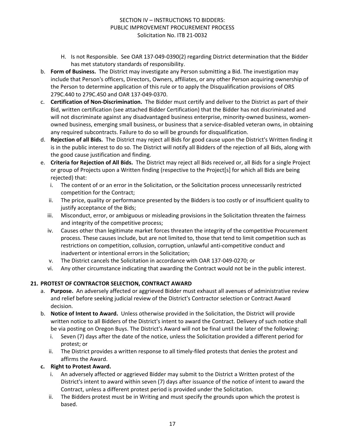- H. Is not Responsible. See OAR 137-049-0390(2) regarding District determination that the Bidder has met statutory standards of responsibility.
- b. **Form of Business.** The District may investigate any Person submitting a Bid. The investigation may include that Person's officers, Directors, Owners, affiliates, or any other Person acquiring ownership of the Person to determine application of this rule or to apply the Disqualification provisions of ORS 279C.440 to 279C.450 and OAR 137-049-0370.
- c. **Certification of Non-Discrimination.** The Bidder must certify and deliver to the District as part of their Bid, written certification (see attached Bidder Certification) that the Bidder has not discriminated and will not discriminate against any disadvantaged business enterprise, minority-owned business, womenowned business, emerging small business, or business that a service-disabled veteran owns, in obtaining any required subcontracts. Failure to do so will be grounds for disqualification.
- d. **Rejection of all Bids.** The District may reject all Bids for good cause upon the District's Written finding it is in the public interest to do so. The District will notify all Bidders of the rejection of all Bids, along with the good cause justification and finding.
- e. **Criteria for Rejection of All Bids.** The District may reject all Bids received or, all Bids for a single Project or group of Projects upon a Written finding (respective to the Project[s] for which all Bids are being rejected) that:
	- i. The content of or an error in the Solicitation, or the Solicitation process unnecessarily restricted competition for the Contract;
	- ii. The price, quality or performance presented by the Bidders is too costly or of insufficient quality to justify acceptance of the Bids;
	- iii. Misconduct, error, or ambiguous or misleading provisions in the Solicitation threaten the fairness and integrity of the competitive process;
	- iv. Causes other than legitimate market forces threaten the integrity of the competitive Procurement process. These causes include, but are not limited to, those that tend to limit competition such as restrictions on competition, collusion, corruption, unlawful anti-competitive conduct and inadvertent or intentional errors in the Solicitation;
	- v. The District cancels the Solicitation in accordance with OAR 137-049-0270; or
	- vi. Any other circumstance indicating that awarding the Contract would not be in the public interest.

# **21. PROTEST OF CONTRACTOR SELECTION, CONTRACT AWARD**

- a. **Purpose.** An adversely affected or aggrieved Bidder must exhaust all avenues of administrative review and relief before seeking judicial review of the District's Contractor selection or Contract Award decision.
- b. **Notice of Intent to Award.** Unless otherwise provided in the Solicitation, the District will provide written notice to all Bidders of the District's intent to award the Contract. Delivery of such notice shall be via posting on Oregon Buys. The District's Award will not be final until the later of the following:
	- i. Seven (7) days after the date of the notice, unless the Solicitation provided a different period for protest; or
	- ii. The District provides a written response to all timely-filed protests that denies the protest and affirms the Award.

## **c. Right to Protest Award.**

- i. An adversely affected or aggrieved Bidder may submit to the District a Written protest of the District's intent to award within seven (7) days after issuance of the notice of intent to award the Contract, unless a different protest period is provided under the Solicitation.
- ii. The Bidders protest must be in Writing and must specify the grounds upon which the protest is based.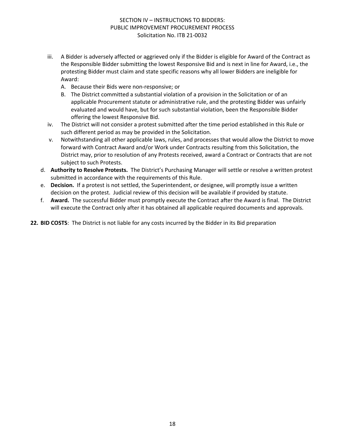- iii. A Bidder is adversely affected or aggrieved only if the Bidder is eligible for Award of the Contract as the Responsible Bidder submitting the lowest Responsive Bid and is next in line for Award, i.e., the protesting Bidder must claim and state specific reasons why all lower Bidders are ineligible for Award:
	- A. Because their Bids were non-responsive; or
	- B. The District committed a substantial violation of a provision in the Solicitation or of an applicable Procurement statute or administrative rule, and the protesting Bidder was unfairly evaluated and would have, but for such substantial violation, been the Responsible Bidder offering the lowest Responsive Bid.
- iv. The District will not consider a protest submitted after the time period established in this Rule or such different period as may be provided in the Solicitation.
- v. Notwithstanding all other applicable laws, rules, and processes that would allow the District to move forward with Contract Award and/or Work under Contracts resulting from this Solicitation, the District may, prior to resolution of any Protests received, award a Contract or Contracts that are not subject to such Protests.
- d. **Authority to Resolve Protests.** The District's Purchasing Manager will settle or resolve a written protest submitted in accordance with the requirements of this Rule.
- e. **Decision.** If a protest is not settled, the Superintendent, or designee, will promptly issue a written decision on the protest. Judicial review of this decision will be available if provided by statute.
- f. **Award.** The successful Bidder must promptly execute the Contract after the Award is final. The District will execute the Contract only after it has obtained all applicable required documents and approvals.

**22. BID COSTS**: The District is not liable for any costs incurred by the Bidder in its Bid preparation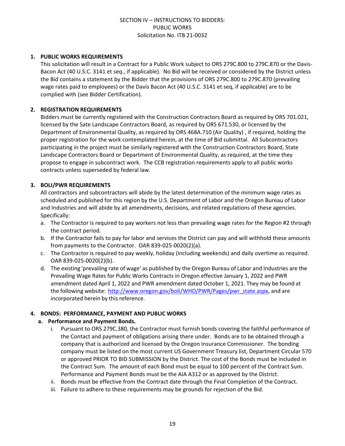#### **1. PUBLIC WORKS REQUIREMENTS**

This solicitation will result in a Contract for a Public Work subject to ORS 279C.800 to 279C.870 or the Davis-Bacon Act (40 U.S.C. 3141 et seq., if applicable). No Bid will be received or considered by the District unless the Bid contains a statement by the Bidder that the provisions of ORS 279C.800 to 279C.870 (prevailing wage rates paid to employees) or the Davis Bacon Act (40 U.S.C. 3141 et seq, if applicable) are to be complied with (see Bidder Certification).

#### **2. REGISTRATION REQUIREMENTS**

Bidders must be currently registered with the Construction Contractors Board as required by ORS 701.021, licensed by the Sate Landscape Contractors Board, as required by ORS 671.530, or licensed by the Department of Environmental Quality, as required by ORS 468A.710 (Air Quality) , if required, holding the proper registration for the work contemplated herein, at the time of Bid submittal. All Subcontractors participating in the project must be similarly registered with the Construction Contractors Board, State Landscape Contractors Board or Department of Environmental Quality, as required, at the time they propose to engage in subcontract work. The CCB registration requirements apply to all public works contracts unless superseded by federal law.

## **3. BOLI/PWR REQUIREMENTS**

All contractors and subcontractors will abide by the latest determination of the minimum wage rates as scheduled and published for this region by the U.S. Department of Labor and the Oregon Bureau of Labor and Industries and will abide by all amendments, decisions, and related regulations of these agencies. Specifically:

- a. The Contractor is required to pay workers not less than prevailing wage rates for the Region #2 through the contract period.
- b. If the Contractor fails to pay for labor and services the District can pay and will withhold these amounts from payments to the Contractor. OAR 839-025-0020(2)(a).
- c. The Contractor is required to pay weekly, holiday (including weekends) and daily overtime as required. OAR 839-025-0020(2)(b).
- d. The existing 'prevailing rate of wage' as published by the Oregon Bureau of Labor and Industries are the Prevailing Wage Rates for Public Works Contracts in Oregon effective January 1, 2022 and PWR amendment dated April 1, 2022 and PWR amendment dated October 1, 2021. They may be found at the following website: [http://www.oregon.gov/boli/WHD/PWR/Pages/pwr\\_state.aspx](http://www.oregon.gov/boli/WHD/PWR/Pages/pwr_state.aspx), and are incorporated herein by this reference.

#### **4. BONDS: PERFORMANCE, PAYMENT AND PUBLIC WORKS**

#### **a. Performance and Payment Bonds.**

- i. Pursuant to ORS 279C.380, the Contractor must furnish bonds covering the faithful performance of the Contact and payment of obligations arising there under. Bonds are to be obtained through a company that is authorized and licensed by the Oregon Insurance Commissioner. The bonding company must be listed on the most current US Government Treasury list, Department Circular 570 or approved PRIOR TO BID SUBMISSION by the District. The cost of the Bonds must be included in the Contract Sum. The amount of each Bond must be equal to 100 percent of the Contract Sum. Performance and Payment Bonds must be the AIA A312 or as approved by the District.
- ii. Bonds must be effective from the Contract date through the Final Completion of the Contract.
- iii. Failure to adhere to these requirements may be grounds for rejection of the Bid.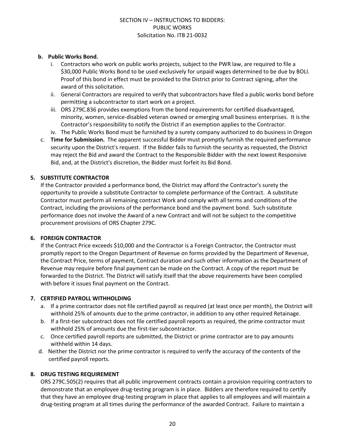## **b. Public Works Bond.**

- i. Contractors who work on public works projects, subject to the PWR law, are required to file a \$30,000 Public Works Bond to be used exclusively for unpaid wages determined to be due by BOLI. Proof of this bond in effect must be provided to the District prior to Contract signing, after the award of this solicitation.
- ii. General Contractors are required to verify that subcontractors have filed a public works bond before permitting a subcontractor to start work on a project.
- iii. ORS 279C.836 provides exemptions from the bond requirements for certified disadvantaged, minority, women, service-disabled veteran owned or emerging small business enterprises. It is the Contractor's responsibility to notify the District if an exemption applies to the Contractor.
- iv. The Public Works Bond must be furnished by a surety company authorized to do business in Oregon
- c. **Time for Submission.** The apparent successful Bidder must promptly furnish the required performance security upon the District's request. If the Bidder fails to furnish the security as requested, the District may reject the Bid and award the Contract to the Responsible Bidder with the next lowest Responsive Bid, and, at the District's discretion, the Bidder must forfeit its Bid Bond.

## **5. SUBSTITUTE CONTRACTOR**

If the Contractor provided a performance bond, the District may afford the Contractor's surety the opportunity to provide a substitute Contractor to complete performance of the Contract. A substitute Contractor must perform all remaining contract Work and comply with all terms and conditions of the Contract, including the provisions of the performance bond and the payment bond. Such substitute performance does not involve the Award of a new Contract and will not be subject to the competitive procurement provisions of ORS Chapter 279C.

#### **6. FOREIGN CONTRACTOR**

If the Contract Price exceeds \$10,000 and the Contractor is a Foreign Contractor, the Contractor must promptly report to the Oregon Department of Revenue on forms provided by the Department of Revenue, the Contract Price, terms of payment, Contract duration and such other information as the Department of Revenue may require before final payment can be made on the Contract. A copy of the report must be forwarded to the District. The District will satisfy itself that the above requirements have been complied with before it issues final payment on the Contract.

#### **7. CERTIFIED PAYROLL WITHHOLDING**

- a. If a prime contractor does not file certified payroll as required (at least once per month), the District will withhold 25% of amounts due to the prime contractor, in addition to any other required Retainage.
- b. If a first-tier subcontract does not file certified payroll reports as required, the prime contractor must withhold 25% of amounts due the first-tier subcontractor.
- c. Once certified payroll reports are submitted, the District or prime contractor are to pay amounts withheld within 14 days.
- d. Neither the District nor the prime contractor is required to verify the accuracy of the contents of the certified payroll reports.

## **8. DRUG TESTING REQUIREMENT**

ORS 279C.505(2) requires that all public improvement contracts contain a provision requiring contractors to demonstrate that an employee drug-testing program is in place. Bidders are therefore required to certify that they have an employee drug-testing program in place that applies to all employees and will maintain a drug-testing program at all times during the performance of the awarded Contract. Failure to maintain a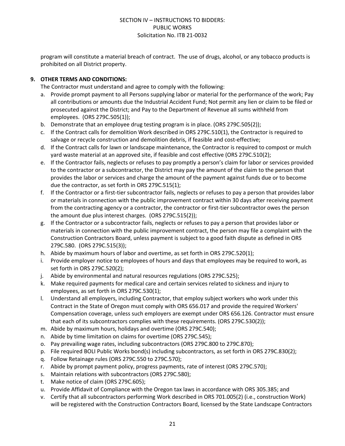program will constitute a material breach of contract. The use of drugs, alcohol, or any tobacco products is prohibited on all District property.

## **9. OTHER TERMS AND CONDITIONS:**

The Contractor must understand and agree to comply with the following:

- a. Provide prompt payment to all Persons supplying labor or material for the performance of the work; Pay all contributions or amounts due the Industrial Accident Fund; Not permit any lien or claim to be filed or prosecuted against the District; and Pay to the Department of Revenue all sums withheld from employees. (ORS 279C.505(1));
- b. Demonstrate that an employee drug testing program is in place. (ORS 279C.505(2));
- c. If the Contract calls for demolition Work described in ORS 279C.510(1), the Contractor is required to salvage or recycle construction and demolition debris, if feasible and cost-effective;
- d. If the Contract calls for lawn or landscape maintenance, the Contractor is required to compost or mulch yard waste material at an approved site, if feasible and cost effective (ORS 279C.510(2);
- e. If the Contractor fails, neglects or refuses to pay promptly a person's claim for labor or services provided to the contractor or a subcontractor, the District may pay the amount of the claim to the person that provides the labor or services and charge the amount of the payment against funds due or to become due the contractor, as set forth in ORS 279C.515(1);
- f. If the Contractor or a first-tier subcontractor fails, neglects or refuses to pay a person that provides labor or materials in connection with the public improvement contract within 30 days after receiving payment from the contracting agency or a contractor, the contractor or first-tier subcontractor owes the person the amount due plus interest charges. (ORS 279C.515(2));
- g. If the Contractor or a subcontractor fails, neglects or refuses to pay a person that provides labor or materials in connection with the public improvement contract, the person may file a complaint with the Construction Contractors Board, unless payment is subject to a good faith dispute as defined in ORS 279C.580. (ORS 279C.515(3));
- h. Abide by maximum hours of labor and overtime, as set forth in ORS 279C.520(1);
- i. Provide employer notice to employees of hours and days that employees may be required to work, as set forth in ORS 279C.520(2);
- j. Abide by environmental and natural resources regulations (ORS 279C.525);
- k. Make required payments for medical care and certain services related to sickness and injury to employees, as set forth in ORS 279C.530(1);
- l. Understand all employers, including Contractor, that employ subject workers who work under this Contract in the State of Oregon must comply with ORS 656.017 and provide the required Workers' Compensation coverage, unless such employers are exempt under ORS 656.126. Contractor must ensure that each of its subcontractors complies with these requirements. (ORS 279C.530(2));
- m. Abide by maximum hours, holidays and overtime (ORS 279C.540);
- n. Abide by time limitation on claims for overtime (ORS 279C.545);
- o. Pay prevailing wage rates, including subcontractors (ORS 279C.800 to 279C.870);
- p. File required BOLI Public Works bond(s) including subcontractors, as set forth in ORS 279C.830(2);
- q. Follow Retainage rules (ORS 279C.550 to 279C.570);
- r. Abide by prompt payment policy, progress payments, rate of interest (ORS 279C.570);
- s. Maintain relations with subcontractors (ORS 279C.580);
- t. Make notice of claim (ORS 279C.605);
- u. Provide Affidavit of Compliance with the Oregon tax laws in accordance with ORS 305.385; and
- v. Certify that all subcontractors performing Work described in ORS 701.005(2) (i.e., construction Work) will be registered with the Construction Contractors Board, licensed by the State Landscape Contractors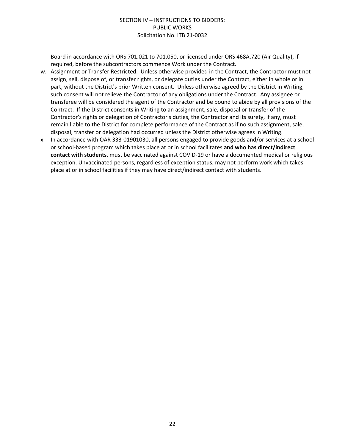Board in accordance with ORS 701.021 to 701.050, or licensed under ORS 468A.720 (Air Quality), if required, before the subcontractors commence Work under the Contract.

- w. Assignment or Transfer Restricted. Unless otherwise provided in the Contract, the Contractor must not assign, sell, dispose of, or transfer rights, or delegate duties under the Contract, either in whole or in part, without the District's prior Written consent. Unless otherwise agreed by the District in Writing, such consent will not relieve the Contractor of any obligations under the Contract. Any assignee or transferee will be considered the agent of the Contractor and be bound to abide by all provisions of the Contract. If the District consents in Writing to an assignment, sale, disposal or transfer of the Contractor's rights or delegation of Contractor's duties, the Contractor and its surety, if any, must remain liable to the District for complete performance of the Contract as if no such assignment, sale, disposal, transfer or delegation had occurred unless the District otherwise agrees in Writing.
- x. In accordance with OAR 333-01901030, all persons engaged to provide goods and/or services at a school or school-based program which takes place at or in school facilitates **and who has direct/indirect contact with students**, must be vaccinated against COVID-19 or have a documented medical or religious exception. Unvaccinated persons, regardless of exception status, may not perform work which takes place at or in school facilities if they may have direct/indirect contact with students.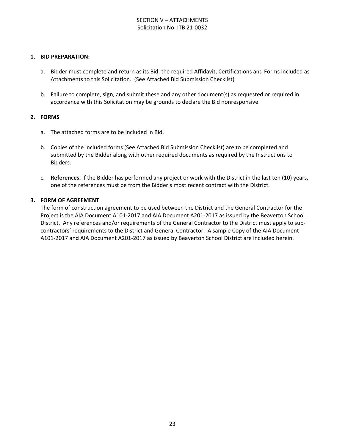## SECTION V – ATTACHMENTS Solicitation No. ITB 21-0032

#### **1. BID PREPARATION:**

- a. Bidder must complete and return as its Bid, the required Affidavit, Certifications and Forms included as Attachments to this Solicitation. (See Attached Bid Submission Checklist)
- b. Failure to complete, **sign**, and submit these and any other document(s) as requested or required in accordance with this Solicitation may be grounds to declare the Bid nonresponsive.

#### **2. FORMS**

- a. The attached forms are to be included in Bid.
- b. Copies of the included forms (See Attached Bid Submission Checklist) are to be completed and submitted by the Bidder along with other required documents as required by the Instructions to Bidders.
- c. **References.** If the Bidder has performed any project or work with the District in the last ten (10) years, one of the references must be from the Bidder's most recent contract with the District.

#### **3. FORM OF AGREEMENT**

The form of construction agreement to be used between the District and the General Contractor for the Project is the AIA Document A101-2017 and AIA Document A201-2017 as issued by the Beaverton School District. Any references and/or requirements of the General Contractor to the District must apply to subcontractors' requirements to the District and General Contractor. A sample Copy of the AIA Document A101-2017 and AIA Document A201-2017 as issued by Beaverton School District are included herein.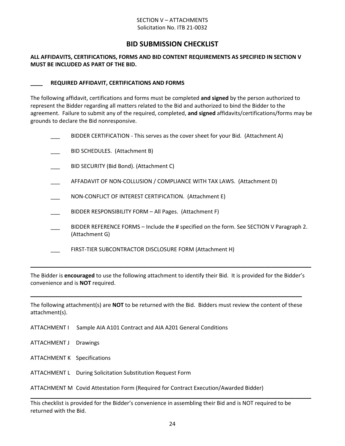#### SECTION V – ATTACHMENTS Solicitation No. ITB 21-0032

# **BID SUBMISSION CHECKLIST**

#### **ALL AFFIDAVITS, CERTIFICATIONS, FORMS AND BID CONTENT REQUIREMENTS AS SPECIFIED IN SECTION V MUST BE INCLUDED AS PART OF THE BID.**

#### **\_\_\_\_ REQUIRED AFFIDAVIT, CERTIFICATIONS AND FORMS**

The following affidavit, certifications and forms must be completed **and signed** by the person authorized to represent the Bidder regarding all matters related to the Bid and authorized to bind the Bidder to the agreement. Failure to submit any of the required, completed, **and signed** affidavits/certifications/forms may be grounds to declare the Bid nonresponsive.

|  | BIDDER CERTIFICATION - This serves as the cover sheet for your Bid. (Attachment A)                         |
|--|------------------------------------------------------------------------------------------------------------|
|  | BID SCHEDULES. (Attachment B)                                                                              |
|  | BID SECURITY (Bid Bond). (Attachment C)                                                                    |
|  | AFFADAVIT OF NON-COLLUSION / COMPLIANCE WITH TAX LAWS. (Attachment D)                                      |
|  | NON-CONFLICT OF INTEREST CERTIFICATION. (Attachment E)                                                     |
|  | BIDDER RESPONSIBILITY FORM - All Pages. (Attachment F)                                                     |
|  | BIDDER REFERENCE FORMS – Include the # specified on the form. See SECTION V Paragraph 2.<br>(Attachment G) |
|  | FIRST-TIER SUBCONTRACTOR DISCLOSURE FORM (Attachment H)                                                    |
|  |                                                                                                            |

The Bidder is **encouraged** to use the following attachment to identify their Bid. It is provided for the Bidder's convenience and is **NOT** required.

The following attachment(s) are **NOT** to be returned with the Bid. Bidders must review the content of these attachment(s).

**\_\_\_\_\_\_\_\_\_\_\_\_\_\_\_\_\_\_\_\_\_\_\_\_\_\_\_\_\_\_\_\_\_\_\_\_\_\_\_\_\_\_\_\_\_\_\_\_\_\_\_\_\_\_\_\_\_\_\_\_\_\_\_\_\_\_\_\_\_\_\_\_\_\_\_\_\_\_\_\_\_\_\_\_\_\_\_\_**

- ATTACHMENT I Sample AIA A101 Contract and AIA A201 General Conditions
- ATTACHMENT J Drawings
- ATTACHMENT K Specifications
- ATTACHMENT L During Solicitation Substitution Request Form

ATTACHMENT M Covid Attestation Form (Required for Contract Execution/Awarded Bidder)

This checklist is provided for the Bidder's convenience in assembling their Bid and is NOT required to be returned with the Bid.

**\_\_\_\_\_\_\_\_\_\_\_\_\_\_\_\_\_\_\_\_\_\_\_\_\_\_\_\_\_\_\_\_\_\_\_\_\_\_\_\_\_\_\_\_\_\_\_\_\_\_\_\_\_\_\_\_\_\_\_\_\_\_\_\_\_\_\_\_\_\_\_\_\_\_\_\_\_\_\_\_\_\_\_\_\_\_\_\_\_\_\_**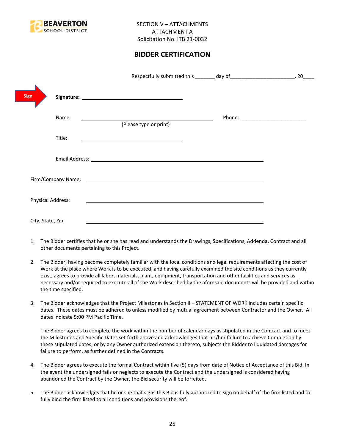

# **BIDDER CERTIFICATION**

|                          |                                                                                                                        | 20                                |
|--------------------------|------------------------------------------------------------------------------------------------------------------------|-----------------------------------|
| Sign                     |                                                                                                                        |                                   |
| Name:                    | (Please type or print)                                                                                                 | Phone: __________________________ |
| Title:                   |                                                                                                                        |                                   |
|                          |                                                                                                                        |                                   |
|                          |                                                                                                                        |                                   |
| <b>Physical Address:</b> | <u> 1989 - Johann Harry Barn, mars and deutscher Stadt and deutscher Stadt and deutscher Stadt and deutscher Stadt</u> |                                   |
| City, State, Zip:        |                                                                                                                        |                                   |

- 1. The Bidder certifies that he or she has read and understands the Drawings, Specifications, Addenda, Contract and all other documents pertaining to this Project.
- 2. The Bidder, having become completely familiar with the local conditions and legal requirements affecting the cost of Work at the place where Work is to be executed, and having carefully examined the site conditions as they currently exist, agrees to provide all labor, materials, plant, equipment, transportation and other facilities and services as necessary and/or required to execute all of the Work described by the aforesaid documents will be provided and within the time specified.
- 3. The Bidder acknowledges that the Project Milestones in Section II STATEMENT OF WORK includes certain specific dates. These dates must be adhered to unless modified by mutual agreement between Contractor and the Owner. All dates indicate 5:00 PM Pacific Time.

The Bidder agrees to complete the work within the number of calendar days as stipulated in the Contract and to meet the Milestones and Specific Dates set forth above and acknowledges that his/her failure to achieve Completion by these stipulated dates, or by any Owner authorized extension thereto, subjects the Bidder to liquidated damages for failure to perform, as further defined in the Contracts.

- 4. The Bidder agrees to execute the formal Contract within five (5) days from date of Notice of Acceptance of this Bid. In the event the undersigned fails or neglects to execute the Contract and the undersigned is considered having abandoned the Contract by the Owner, the Bid security will be forfeited.
- 5. The Bidder acknowledges that he or she that signs this Bid is fully authorized to sign on behalf of the firm listed and to fully bind the firm listed to all conditions and provisions thereof.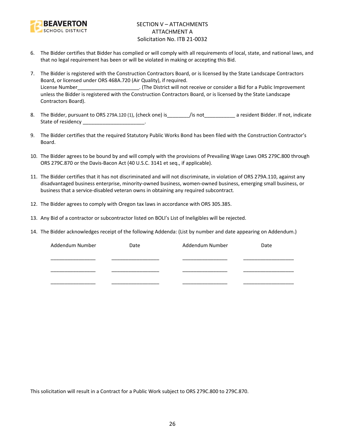

## SECTION V – ATTACHMENTS ATTACHMENT A Solicitation No. ITB 21-0032

- 6. The Bidder certifies that Bidder has complied or will comply with all requirements of local, state, and national laws, and that no legal requirement has been or will be violated in making or accepting this Bid.
- 7. The Bidder is registered with the Construction Contractors Board, or is licensed by the State Landscape Contractors Board, or licensed under ORS 468A.720 (Air Quality), if required. License Number\_\_\_\_\_\_\_\_\_\_\_\_\_\_\_\_\_\_\_\_\_\_. (The District will not receive or consider a Bid for a Public Improvement unless the Bidder is registered with the Construction Contractors Board, or is licensed by the State Landscape Contractors Board).
- 8. The Bidder, pursuant to ORS 279A.120 (1), (check one) is\_\_\_\_\_\_\_\_/is not\_\_\_\_\_\_\_\_\_\_\_ a resident Bidder. If not, indicate State of residency and the state of residency
- 9. The Bidder certifies that the required Statutory Public Works Bond has been filed with the Construction Contractor's Board.
- 10. The Bidder agrees to be bound by and will comply with the provisions of Prevailing Wage Laws ORS 279C.800 through ORS 279C.870 or the Davis-Bacon Act (40 U.S.C. 3141 et seq., if applicable).
- 11. The Bidder certifies that it has not discriminated and will not discriminate, in violation of ORS 279A.110, against any disadvantaged business enterprise, minority-owned business, women-owned business, emerging small business, or business that a service-disabled veteran owns in obtaining any required subcontract.
- 12. The Bidder agrees to comply with Oregon tax laws in accordance with ORS 305.385.
- 13. Any Bid of a contractor or subcontractor listed on BOLI's List of Ineligibles will be rejected.
- 14. The Bidder acknowledges receipt of the following Addenda: (List by number and date appearing on Addendum.)

| Addendum Number | Date | Addendum Number | Date |
|-----------------|------|-----------------|------|
|                 |      |                 |      |
|                 |      |                 |      |
|                 |      |                 |      |

This solicitation will result in a Contract for a Public Work subject to ORS 279C.800 to 279C.870.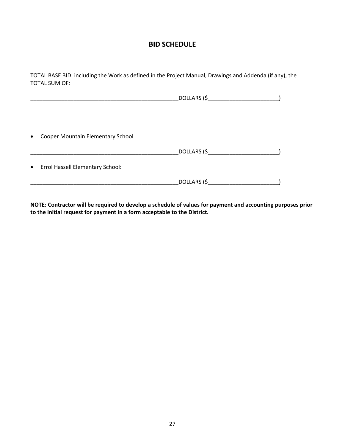# **BID SCHEDULE**

TOTAL BASE BID: including the Work as defined in the Project Manual, Drawings and Addenda (if any), the TOTAL SUM OF:

| $\bullet$ | Cooper Mountain Elementary School  |             |  |
|-----------|------------------------------------|-------------|--|
|           |                                    |             |  |
|           |                                    |             |  |
|           | • Errol Hassell Elementary School: |             |  |
|           |                                    | DOLLARS (\$ |  |

**NOTE: Contractor will be required to develop a schedule of values for payment and accounting purposes prior to the initial request for payment in a form acceptable to the District.**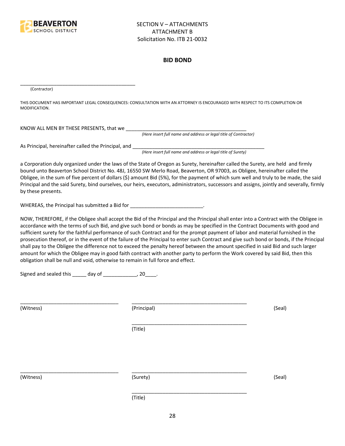

#### **BID BOND**

(Contractor)

THIS DOCUMENT HAS IMPORTANT LEGAL CONSEQUENCES: CONSULTATION WITH AN ATTORNEY IS ENCOURAGED WITH RESPECT TO ITS COMPLETION OR MODIFICATION.

KNOW ALL MEN BY THESE PRESENTS, that we \_\_\_\_\_\_\_\_\_\_\_\_\_\_\_\_\_\_\_\_\_\_\_\_\_\_\_\_\_\_\_\_\_\_\_\_\_\_\_\_\_\_\_

*(Here insert full name and address or legal title of Contractor)*

As Principal, hereinafter called the Principal, and \_\_\_\_\_\_\_\_\_\_\_\_\_\_\_\_\_\_\_\_\_\_\_\_\_\_\_\_

\_\_\_\_\_\_\_\_\_\_\_\_\_\_\_\_\_\_\_\_\_\_\_\_\_\_\_\_\_\_\_\_\_\_\_\_\_\_\_\_\_

*(Here insert full name and address or legal title of Surety)*

a Corporation duly organized under the laws of the State of Oregon as Surety, hereinafter called the Surety, are held and firmly bound unto Beaverton School District No. 48J, 16550 SW Merlo Road, Beaverton, OR 97003, as Obligee, hereinafter called the Obligee, in the sum of five percent of dollars (\$) amount Bid (5%), for the payment of which sum well and truly to be made, the said Principal and the said Surety, bind ourselves, our heirs, executors, administrators, successors and assigns, jointly and severally, firmly by these presents.

WHEREAS, the Principal has submitted a Bid for \_\_\_\_\_\_\_\_\_\_\_\_\_\_\_\_\_\_\_\_\_\_\_\_\_\_\_\_\_\_\_\_\_

NOW, THEREFORE, if the Obligee shall accept the Bid of the Principal and the Principal shall enter into a Contract with the Obligee in accordance with the terms of such Bid, and give such bond or bonds as may be specified in the Contract Documents with good and sufficient surety for the faithful performance of such Contract and for the prompt payment of labor and material furnished in the prosecution thereof, or in the event of the failure of the Principal to enter such Contract and give such bond or bonds, if the Principal shall pay to the Obligee the difference not to exceed the penalty hereof between the amount specified in said Bid and such larger amount for which the Obligee may in good faith contract with another party to perform the Work covered by said Bid, then this obligation shall be null and void, otherwise to remain in full force and effect.

\_\_\_\_\_\_\_\_\_\_\_\_\_\_\_\_\_\_\_\_\_\_\_\_\_\_\_\_\_\_\_\_\_\_\_\_\_\_\_\_\_

\_\_\_\_\_\_\_\_\_\_\_\_\_\_\_\_\_\_\_\_\_\_\_\_\_\_\_\_\_\_\_\_\_\_\_\_\_\_\_\_\_

Signed and sealed this \_\_\_\_\_ day of \_\_\_\_\_\_\_\_\_\_\_\_, 20\_\_\_\_.

(Witness) (Principal) (Seal)

(Title)

\_\_\_\_\_\_\_\_\_\_\_\_\_\_\_\_\_\_\_\_\_\_\_\_\_\_\_\_\_\_\_\_\_\_\_ \_\_\_\_\_\_\_\_\_\_\_\_\_\_\_\_\_\_\_\_\_\_\_\_\_\_\_\_\_\_\_\_\_\_\_\_\_\_\_\_\_

(Witness) (Surety) (Seal)

\_\_\_\_\_\_\_\_\_\_\_\_\_\_\_\_\_\_\_\_\_\_\_\_\_\_\_\_\_\_\_\_\_\_\_ \_\_\_\_\_\_\_\_\_\_\_\_\_\_\_\_\_\_\_\_\_\_\_\_\_\_\_\_\_\_\_\_\_\_\_\_\_\_\_\_\_

(Title)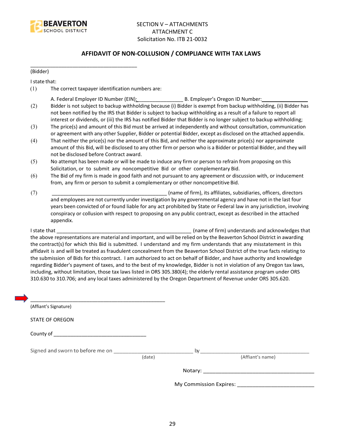

## **AFFIDAVIT OF NON-COLLUSION / COMPLIANCE WITH TAX LAWS**

(Bidder)

I state that:

(1) The correct taxpayer identification numbers are:

\_\_\_\_\_\_\_\_\_\_\_\_\_\_\_\_\_\_\_\_\_\_\_\_\_\_\_\_\_\_\_\_\_\_\_\_\_\_

- A. Federal Employer ID Number (EIN): \_\_\_\_\_\_\_\_\_\_\_\_\_\_\_\_ B. Employer's Oregon ID Number: \_\_\_\_\_\_\_\_\_\_\_\_\_\_\_\_
- (2) Bidder is not subject to backup withholding because (i) Bidder is exempt from backup withholding, (ii) Bidder has not been notified by the IRS that Bidder is subject to backup withholding as a result of a failure to report all interest or dividends, or (iii) the IRS has notified Bidder that Bidder is no longer subject to backup withholding;
- (3) The price(s) and amount of this Bid must be arrived at independently and without consultation, communication or agreement with any other Supplier, Bidder or potential Bidder, except as disclosed on the attached appendix.
- (4) That neither the price(s) nor the amount of this Bid, and neither the approximate price(s) nor approximate amount of this Bid, will be disclosed to any other firm or person who is a Bidder or potential Bidder, and they will not be disclosed before Contract award.
- (5) No attempt has been made or will be made to induce any firm or person to refrain from proposing on this Solicitation, or to submit any noncompetitive Bid or other complementary Bid.
- (6) The Bid of my firm is made in good faith and not pursuant to any agreement or discussion with, or inducement from, any firm or person to submit a complementary or other noncompetitive Bid.
- (7) \_\_\_\_\_\_\_\_\_\_\_\_\_\_\_\_\_\_\_\_\_\_\_\_\_\_\_\_\_\_\_\_\_\_\_\_\_\_\_\_\_ (name of firm), its affiliates, subsidiaries, officers, directors and employees are not currently under investigation by any governmental agency and have not in the last four years been convicted of or found liable for any act prohibited by State or Federal law in any jurisdiction, involving conspiracy or collusion with respect to proposing on any public contract, except as described in the attached appendix.

I state that **I state that**  $\blacksquare$  (name of firm) understands and acknowledges that the above representations are material and important, and will be relied on by the Beaverton School District in awarding the contract(s) for which this Bid is submitted. I understand and my firm understands that any misstatement in this affidavit is and will be treated as fraudulent concealment from the Beaverton School District of the true facts relating to the submission of Bids for this contract. I am authorized to act on behalf of Bidder, and have authority and knowledge regarding Bidder's payment of taxes, and to the best of my knowledge, Bidder is not in violation of any Oregon tax laws, including, without limitation, those tax laws listed in ORS 305.380(4); the elderly rental assistance program under ORS 310.630 to 310.706; and any local taxes administered by the Oregon Department of Revenue under ORS 305.620.

| (Affiant's Signature)            |        |    |                                      |
|----------------------------------|--------|----|--------------------------------------|
| <b>STATE OF OREGON</b>           |        |    |                                      |
|                                  |        |    |                                      |
| Signed and sworn to before me on |        | by |                                      |
|                                  | (date) |    | (Affiant's name)                     |
|                                  |        |    |                                      |
|                                  |        |    | My Commission Expires: _____________ |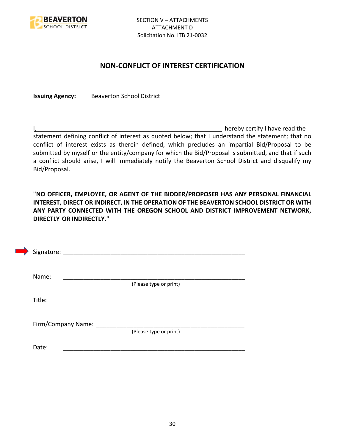

# **NON-CONFLICT OF INTEREST CERTIFICATION**

**Issuing Agency:** Beaverton School District

I, the contract of the contract of the contract of the contract of the hereby certify I have read the statement defining conflict of interest as quoted below; that I understand the statement; that no conflict of interest exists as therein defined, which precludes an impartial Bid/Proposal to be submitted by myself or the entity/company for which the Bid/Proposal is submitted, and that if such a conflict should arise, I will immediately notify the Beaverton School District and disqualify my Bid/Proposal.

**"NO OFFICER, EMPLOYEE, OR AGENT OF THE BIDDER/PROPOSER HAS ANY PERSONAL FINANCIAL INTEREST, DIRECT OR INDIRECT, IN THE OPERATION OF THE BEAVERTON SCHOOL DISTRICT OR WITH ANY PARTY CONNECTED WITH THE OREGON SCHOOL AND DISTRICT IMPROVEMENT NETWORK, DIRECTLY OR INDIRECTLY."**

| Signature: |                    |                        |  |
|------------|--------------------|------------------------|--|
| Name:      |                    |                        |  |
| Title:     |                    | (Please type or print) |  |
|            |                    |                        |  |
|            | Firm/Company Name: | (Please type or print) |  |
| Date:      |                    |                        |  |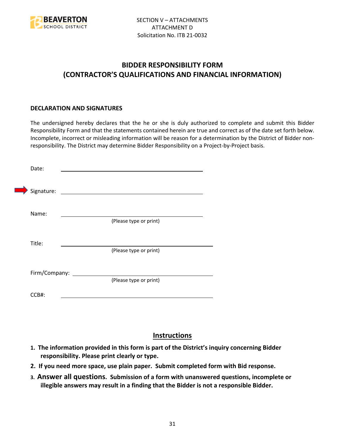

# **BIDDER RESPONSIBILITY FORM (CONTRACTOR'S QUALIFICATIONS AND FINANCIAL INFORMATION)**

## **DECLARATION AND SIGNATURES**

The undersigned hereby declares that the he or she is duly authorized to complete and submit this Bidder Responsibility Form and that the statements contained herein are true and correct as of the date set forth below. Incomplete, incorrect or misleading information will be reason for a determination by the District of Bidder nonresponsibility. The District may determine Bidder Responsibility on a Project-by-Project basis.

| Date:         |                                                             |
|---------------|-------------------------------------------------------------|
| Signature:    | the control of the control of the control of the control of |
| Name:         |                                                             |
|               | (Please type or print)                                      |
| Title:        |                                                             |
|               | (Please type or print)                                      |
| Firm/Company: |                                                             |
|               | (Please type or print)                                      |
| CCB#:         |                                                             |

# **Instructions**

- **1. The information provided in this form is part of the District's inquiry concerning Bidder responsibility. Please print clearly or type.**
- **2. If you need more space, use plain paper. Submit completed form with Bid response.**
- **3. Answer all questions. Submission of a form with unanswered questions, incomplete or illegible answers may result in a finding that the Bidder is not a responsible Bidder.**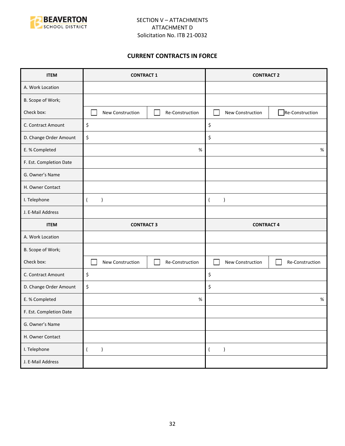

## **CURRENT CONTRACTS IN FORCE**

| <b>ITEM</b>             | <b>CONTRACT 1</b>             |                 | <b>CONTRACT 2</b>           |                 |
|-------------------------|-------------------------------|-----------------|-----------------------------|-----------------|
| A. Work Location        |                               |                 |                             |                 |
| B. Scope of Work;       |                               |                 |                             |                 |
| Check box:              | New Construction              | Re-Construction | New Construction            | Re-Construction |
| C. Contract Amount      | \$                            |                 | \$                          |                 |
| D. Change Order Amount  | \$                            |                 | \$                          |                 |
| E. % Completed          |                               | $\%$            |                             | $\%$            |
| F. Est. Completion Date |                               |                 |                             |                 |
| G. Owner's Name         |                               |                 |                             |                 |
| H. Owner Contact        |                               |                 |                             |                 |
| I. Telephone            | $\overline{(}$<br>$\lambda$   |                 | $\lambda$<br>$\overline{(}$ |                 |
| J. E-Mail Address       |                               |                 |                             |                 |
|                         | <b>CONTRACT 3</b>             |                 |                             |                 |
| <b>ITEM</b>             |                               |                 | <b>CONTRACT 4</b>           |                 |
| A. Work Location        |                               |                 |                             |                 |
| B. Scope of Work;       |                               |                 |                             |                 |
| Check box:              | New Construction              | Re-Construction | New Construction            | Re-Construction |
| C. Contract Amount      | \$                            |                 | \$                          |                 |
| D. Change Order Amount  | \$                            |                 | \$                          |                 |
| E. % Completed          |                               | %               |                             | $\%$            |
| F. Est. Completion Date |                               |                 |                             |                 |
| G. Owner's Name         |                               |                 |                             |                 |
| H. Owner Contact        |                               |                 |                             |                 |
| I. Telephone            | $\overline{(\ }$<br>$\lambda$ |                 | $\lambda$<br>$\overline{ }$ |                 |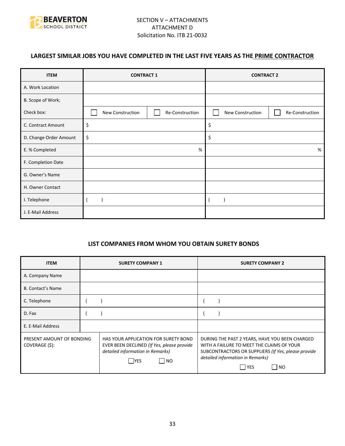

# **LARGEST SIMILAR JOBS YOU HAVE COMPLETED IN THE LAST FIVE YEARS AS THE PRIME CONTRACTOR**

| <b>ITEM</b>            | <b>CONTRACT 1</b> |                 | <b>CONTRACT 2</b> |                 |
|------------------------|-------------------|-----------------|-------------------|-----------------|
| A. Work Location       |                   |                 |                   |                 |
| B. Scope of Work;      |                   |                 |                   |                 |
| Check box:             | New Construction  | Re-Construction | New Construction  | Re-Construction |
| C. Contract Amount     | \$                |                 | \$                |                 |
| D. Change Order Amount | \$                |                 | \$                |                 |
| E. % Completed         | %                 |                 |                   | %               |
| F. Completion Date     |                   |                 |                   |                 |
| G. Owner's Name        |                   |                 |                   |                 |
| H. Owner Contact       |                   |                 |                   |                 |
| I. Telephone           |                   |                 |                   |                 |
| J. E-Mail Address      |                   |                 |                   |                 |

## **LIST COMPANIES FROM WHOM YOU OBTAIN SURETY BONDS**

| <b>ITEM</b>                                 | <b>SURETY COMPANY 1</b>                                                                                                                | <b>SURETY COMPANY 2</b>                                                                                                                                                                                 |
|---------------------------------------------|----------------------------------------------------------------------------------------------------------------------------------------|---------------------------------------------------------------------------------------------------------------------------------------------------------------------------------------------------------|
| A. Company Name                             |                                                                                                                                        |                                                                                                                                                                                                         |
| <b>B. Contact's Name</b>                    |                                                                                                                                        |                                                                                                                                                                                                         |
| C. Telephone                                |                                                                                                                                        |                                                                                                                                                                                                         |
| D. Fax                                      |                                                                                                                                        |                                                                                                                                                                                                         |
| E. E-Mail Address                           |                                                                                                                                        |                                                                                                                                                                                                         |
| PRESENT AMOUNT OF BONDING<br>COVERAGE (\$): | HAS YOUR APPLICATION FOR SURETY BOND<br>EVER BEEN DECLINED (If Yes, please provide<br>detailed information in Remarks)<br>  NO<br> YES | DURING THE PAST 2 YEARS, HAVE YOU BEEN CHARGED<br>WITH A FAILURE TO MEET THE CLAIMS OF YOUR<br>SUBCONTRACTORS OR SUPPLIERS (If Yes, please provide<br>detailed information in Remarks)<br>l YES<br>I NO |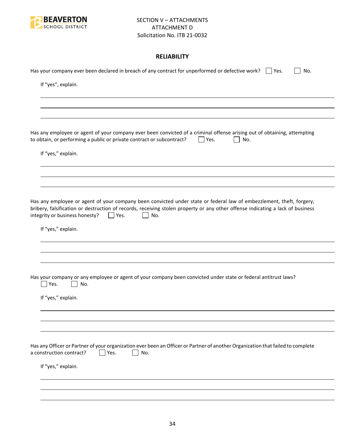

## **RELIABILITY**

| Has your company ever been declared in breach of any contract for unperformed or defective work? $\Box$ Yes.<br>No.                                                                                                                                                                                               |
|-------------------------------------------------------------------------------------------------------------------------------------------------------------------------------------------------------------------------------------------------------------------------------------------------------------------|
| If "yes", explain.                                                                                                                                                                                                                                                                                                |
|                                                                                                                                                                                                                                                                                                                   |
|                                                                                                                                                                                                                                                                                                                   |
| Has any employee or agent of your company ever been convicted of a criminal offense arising out of obtaining, attempting<br>to obtain, or performing a public or private contract or subcontract?<br>Ves.<br>No.                                                                                                  |
| If "yes," explain.                                                                                                                                                                                                                                                                                                |
|                                                                                                                                                                                                                                                                                                                   |
| Has any employee or agent of your company been convicted under state or federal law of embezzlement, theft, forgery,<br>bribery, falsification or destruction of records, receiving stolen property or any other offense indicating a lack of business<br>integrity or business honesty?<br>No.<br>$\vert$   Yes. |
| If "yes," explain.                                                                                                                                                                                                                                                                                                |
|                                                                                                                                                                                                                                                                                                                   |
| Has your company or any employee or agent of your company been convicted under state or federal antitrust laws?<br>Yes.<br>No.                                                                                                                                                                                    |
| If "yes," explain.                                                                                                                                                                                                                                                                                                |
|                                                                                                                                                                                                                                                                                                                   |
|                                                                                                                                                                                                                                                                                                                   |
| Has any Officer or Partner of your organization ever been an Officer or Partner of another Organization that failed to complete<br>a construction contract?<br>Yes.<br>No.                                                                                                                                        |
| If "yes," explain.                                                                                                                                                                                                                                                                                                |
|                                                                                                                                                                                                                                                                                                                   |
|                                                                                                                                                                                                                                                                                                                   |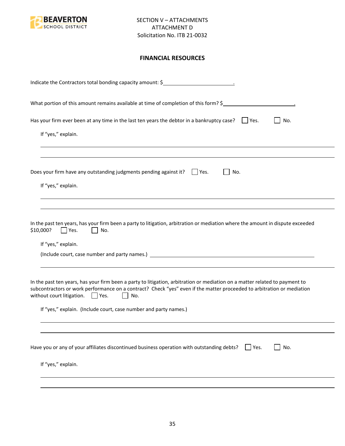

## **FINANCIAL RESOURCES**

| Indicate the Contractors total bonding capacity amount: \$                                                                                                                                                                                                                                                                                                                                |
|-------------------------------------------------------------------------------------------------------------------------------------------------------------------------------------------------------------------------------------------------------------------------------------------------------------------------------------------------------------------------------------------|
| What portion of this amount remains available at time of completion of this form? \$                                                                                                                                                                                                                                                                                                      |
| Has your firm ever been at any time in the last ten years the debtor in a bankruptcy case? $\Box$ Yes.<br>No.<br>If "yes," explain.                                                                                                                                                                                                                                                       |
| Does your firm have any outstanding judgments pending against it? $\Box$ Yes.<br>No.<br>If "yes," explain.                                                                                                                                                                                                                                                                                |
| In the past ten years, has your firm been a party to litigation, arbitration or mediation where the amount in dispute exceeded<br>\$10,000?<br>Yes.<br>No.<br>If "yes," explain.                                                                                                                                                                                                          |
| In the past ten years, has your firm been a party to litigation, arbitration or mediation on a matter related to payment to<br>subcontractors or work performance on a contract? Check "yes" even if the matter proceeded to arbitration or mediation<br>without court litigation. $\Box$ Yes.<br>$\mathbf{L}$<br>No.<br>If "yes," explain. (Include court, case number and party names.) |
| Have you or any of your affiliates discontinued business operation with outstanding debts?<br>No.<br>$ $ Yes.<br>If "yes," explain.                                                                                                                                                                                                                                                       |
|                                                                                                                                                                                                                                                                                                                                                                                           |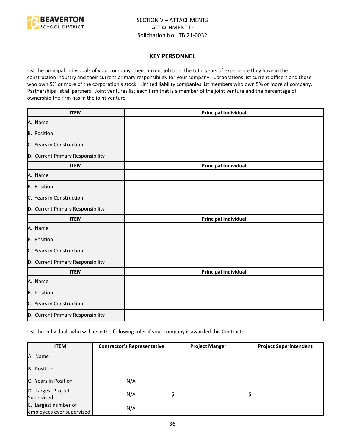

#### **KEY PERSONNEL**

List the principal individuals of your company, their current job title, the total years of experience they have in the construction industry and their current primary responsibility for your company. Corporations list current officers and those who own 5% or more of the corporation's stock. Limited liability companies list members who own 5% or more of company. Partnerships list all partners. Joint ventures list each firm that is a member of the joint venture and the percentage of ownership the firm has in the joint venture.

| <b>ITEM</b>                       | <b>Principal Individual</b> |
|-----------------------------------|-----------------------------|
| A. Name                           |                             |
| B. Position                       |                             |
| C. Years in Construction          |                             |
| D. Current Primary Responsibility |                             |
| <b>ITEM</b>                       | <b>Principal Individual</b> |
| A. Name                           |                             |
| B. Position                       |                             |
| C. Years in Construction          |                             |
| D. Current Primary Responsibility |                             |
| <b>ITEM</b>                       | <b>Principal Individual</b> |
| A. Name                           |                             |
| <b>B.</b> Position                |                             |
| C. Years in Construction          |                             |
| D. Current Primary Responsibility |                             |
| <b>ITEM</b>                       | <b>Principal Individual</b> |
| A. Name                           |                             |
| B. Position                       |                             |
| C. Years in Construction          |                             |
| D. Current Primary Responsibility |                             |

List the individuals who will be in the following roles if your company is awarded this Contract:

| <b>ITEM</b>                                       | <b>Contractor's Representative</b> | <b>Project Manger</b> | <b>Project Superintendent</b> |
|---------------------------------------------------|------------------------------------|-----------------------|-------------------------------|
| A. Name                                           |                                    |                       |                               |
| <b>B.</b> Position                                |                                    |                       |                               |
| C. Years in Position                              | N/A                                |                       |                               |
| D. Largest Project<br>Supervised                  | N/A                                | ÷,                    |                               |
| E. Largest number of<br>employees ever supervised | N/A                                |                       |                               |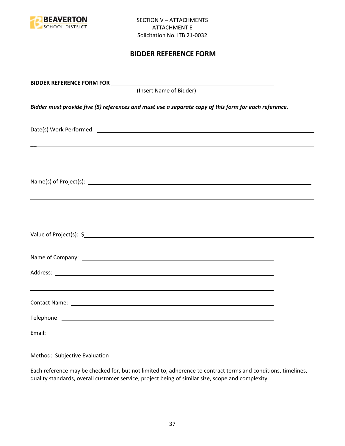

# **BIDDER REFERENCE FORM**

| (Insert Name of Bidder)                                                                               |  |
|-------------------------------------------------------------------------------------------------------|--|
| Bidder must provide five (5) references and must use a separate copy of this form for each reference. |  |
|                                                                                                       |  |
|                                                                                                       |  |
|                                                                                                       |  |
|                                                                                                       |  |
|                                                                                                       |  |
|                                                                                                       |  |
| ,我们也不会有什么。""我们的人,我们也不会有什么?""我们的人,我们也不会有什么?""我们的人,我们也不会有什么?""我们的人,我们也不会有什么?""我们的人                      |  |
|                                                                                                       |  |
|                                                                                                       |  |
|                                                                                                       |  |

Method: Subjective Evaluation

Each reference may be checked for, but not limited to, adherence to contract terms and conditions, timelines, quality standards, overall customer service, project being of similar size, scope and complexity.